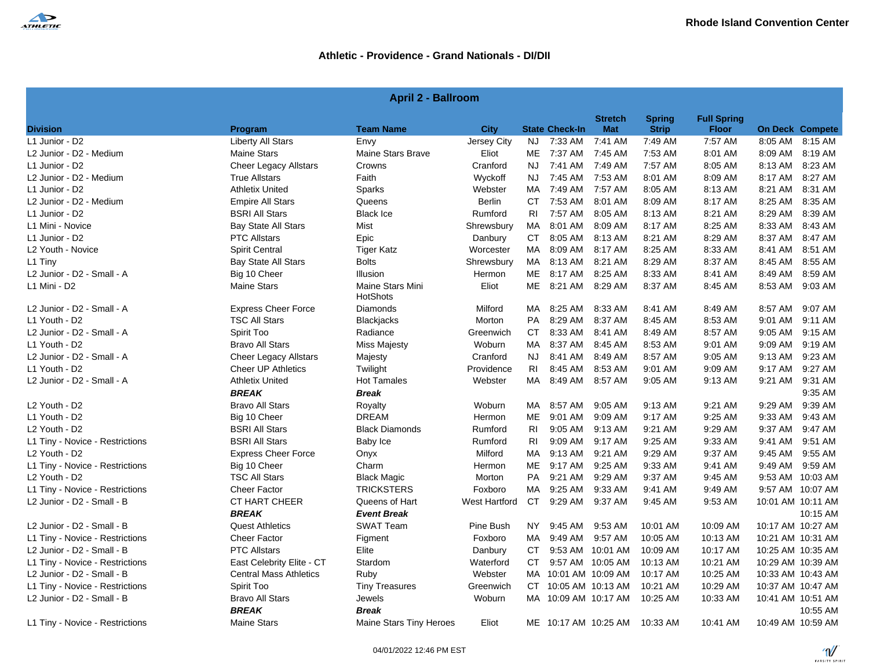

| <b>April 2 - Ballroom</b>             |                                     |                              |                      |           |                       |                               |                               |                                    |           |                        |  |
|---------------------------------------|-------------------------------------|------------------------------|----------------------|-----------|-----------------------|-------------------------------|-------------------------------|------------------------------------|-----------|------------------------|--|
| <b>Division</b>                       |                                     | <b>Team Name</b>             | <b>City</b>          |           | <b>State Check-In</b> | <b>Stretch</b><br><b>Mat</b>  | <b>Spring</b><br><b>Strip</b> | <b>Full Spring</b><br><b>Floor</b> |           | <b>On Deck Compete</b> |  |
| L1 Junior - D2                        | Program<br><b>Liberty All Stars</b> | Envy                         | Jersey City          | NJ.       | 7:33 AM               | 7:41 AM                       | 7:49 AM                       | 7:57 AM                            |           | 8:05 AM 8:15 AM        |  |
| L2 Junior - D2 - Medium               | <b>Maine Stars</b>                  | <b>Maine Stars Brave</b>     | Eliot                | МE        | 7:37 AM               | 7:45 AM                       | 7:53 AM                       | 8:01 AM                            | 8:09 AM   | 8:19 AM                |  |
| L1 Junior - D2                        | <b>Cheer Legacy Allstars</b>        | Crowns                       | Cranford             | NJ.       | 7:41 AM               | 7:49 AM                       | 7:57 AM                       | 8:05 AM                            | 8:13 AM   | 8:23 AM                |  |
| L2 Junior - D2 - Medium               | <b>True Allstars</b>                | Faith                        | Wyckoff              | NJ.       | 7:45 AM               | 7:53 AM                       | 8:01 AM                       | 8:09 AM                            | 8:17 AM   | 8:27 AM                |  |
| L1 Junior - D2                        | <b>Athletix United</b>              | Sparks                       | Webster              | МA        | 7:49 AM               | 7:57 AM                       | 8:05 AM                       | 8:13 AM                            | 8:21 AM   | 8:31 AM                |  |
| L2 Junior - D2 - Medium               | <b>Empire All Stars</b>             | Queens                       | <b>Berlin</b>        | CT.       | 7:53 AM               | 8:01 AM                       | 8:09 AM                       | 8:17 AM                            | 8:25 AM   | 8:35 AM                |  |
| L1 Junior - D2                        | <b>BSRI All Stars</b>               | <b>Black Ice</b>             | Rumford              | RI        | 7:57 AM               | 8:05 AM                       | 8:13 AM                       | 8:21 AM                            | 8:29 AM   | 8:39 AM                |  |
| L1 Mini - Novice                      | <b>Bay State All Stars</b>          | Mist                         | Shrewsbury           | МA        | 8:01 AM               | 8:09 AM                       | 8:17 AM                       | 8:25 AM                            | 8:33 AM   | 8:43 AM                |  |
| L1 Junior - D2                        | <b>PTC Allstars</b>                 | Epic                         | Danbury              | <b>CT</b> | 8:05 AM               | 8:13 AM                       | 8:21 AM                       | 8:29 AM                            | 8:37 AM   | 8:47 AM                |  |
| L2 Youth - Novice                     | <b>Spirit Central</b>               | <b>Tiger Katz</b>            | Worcester            | МA        | 8:09 AM               | 8:17 AM                       | 8:25 AM                       | 8:33 AM                            | 8:41 AM   | 8:51 AM                |  |
| L1 Tiny                               | <b>Bay State All Stars</b>          | <b>Bolts</b>                 | Shrewsbury           | МA        | 8:13 AM               | 8:21 AM                       | 8:29 AM                       | 8:37 AM                            | 8:45 AM   | 8:55 AM                |  |
| L2 Junior - D2 - Small - A            | Big 10 Cheer                        | Illusion                     | Hermon               | ME        | 8:17 AM               | 8:25 AM                       | 8:33 AM                       | 8:41 AM                            | 8:49 AM   | 8:59 AM                |  |
| L1 Mini - D2                          | <b>Maine Stars</b>                  | Maine Stars Mini<br>HotShots | Eliot                | МE        | 8:21 AM               | 8:29 AM                       | 8:37 AM                       | 8:45 AM                            | 8:53 AM   | 9:03 AM                |  |
| L2 Junior - D2 - Small - A            | <b>Express Cheer Force</b>          | Diamonds                     | Milford              | MA.       | 8:25 AM               | 8:33 AM                       | 8:41 AM                       | 8:49 AM                            | 8:57 AM   | 9:07 AM                |  |
| L1 Youth - D2                         | <b>TSC All Stars</b>                | <b>Blackjacks</b>            | Morton               | <b>PA</b> | 8:29 AM               | 8:37 AM                       | 8:45 AM                       | 8:53 AM                            | 9:01 AM   | 9:11 AM                |  |
| L2 Junior - D2 - Small - A            | Spirit Too                          | Radiance                     | Greenwich            | CT.       | 8:33 AM               | 8:41 AM                       | 8:49 AM                       | 8:57 AM                            | $9:05$ AM | 9:15 AM                |  |
| L1 Youth - D2                         | <b>Bravo All Stars</b>              | <b>Miss Majesty</b>          | Woburn               | МA        | 8:37 AM               | 8:45 AM                       | 8:53 AM                       | 9:01 AM                            | 9:09 AM   | 9:19 AM                |  |
| L2 Junior - D2 - Small - A            | <b>Cheer Legacy Allstars</b>        | Majesty                      | Cranford             | <b>NJ</b> | 8:41 AM               | 8:49 AM                       | 8:57 AM                       | 9:05 AM                            | 9:13 AM   | 9:23 AM                |  |
| L1 Youth - D2                         | <b>Cheer UP Athletics</b>           | Twilight                     | Providence           | RI        | 8:45 AM               | 8:53 AM                       | 9:01 AM                       | 9:09 AM                            | 9:17 AM   | 9:27 AM                |  |
| L2 Junior - D2 - Small - A            | <b>Athletix United</b>              | <b>Hot Tamales</b>           | Webster              | МA        | 8:49 AM               | 8:57 AM                       | 9:05 AM                       | 9:13 AM                            | 9:21 AM   | 9:31 AM                |  |
|                                       | <b>BREAK</b>                        | <b>Break</b>                 |                      |           |                       |                               |                               |                                    |           | 9:35 AM                |  |
| L2 Youth - D2                         | <b>Bravo All Stars</b>              | Royalty                      | Woburn               | МA        | 8:57 AM               | 9:05 AM                       | 9:13 AM                       | 9:21 AM                            | 9:29 AM   | 9:39 AM                |  |
| L1 Youth - D2                         | Big 10 Cheer                        | <b>DREAM</b>                 | Hermon               | MЕ        | 9:01 AM               | 9:09 AM                       | 9:17 AM                       | 9:25 AM                            | 9:33 AM   | 9:43 AM                |  |
| L2 Youth - D2                         | <b>BSRI All Stars</b>               | <b>Black Diamonds</b>        | Rumford              | RI        | 9:05 AM               | 9:13 AM                       | 9:21 AM                       | 9:29 AM                            | 9:37 AM   | 9:47 AM                |  |
| L1 Tiny - Novice - Restrictions       | <b>BSRI All Stars</b>               | Baby Ice                     | Rumford              | RI        | 9:09 AM               | 9:17 AM                       | 9:25 AM                       | 9:33 AM                            | 9:41 AM   | 9:51 AM                |  |
| L <sub>2</sub> Youth - D <sub>2</sub> | <b>Express Cheer Force</b>          | Onyx                         | Milford              | МA        | 9:13 AM               | 9:21 AM                       | 9:29 AM                       | 9:37 AM                            | 9:45 AM   | 9:55 AM                |  |
| L1 Tiny - Novice - Restrictions       | Big 10 Cheer                        | Charm                        | Hermon               | <b>ME</b> | 9:17 AM               | 9:25 AM                       | 9:33 AM                       | 9:41 AM                            | 9:49 AM   | 9:59 AM                |  |
| L <sub>2</sub> Youth - D <sub>2</sub> | <b>TSC All Stars</b>                | <b>Black Magic</b>           | Morton               | <b>PA</b> | $9:21$ AM             | 9:29 AM                       | 9:37 AM                       | 9:45 AM                            |           | 9:53 AM 10:03 AM       |  |
| L1 Tiny - Novice - Restrictions       | <b>Cheer Factor</b>                 | <b>TRICKSTERS</b>            | Foxboro              | МA        | 9:25 AM               | 9:33 AM                       | 9:41 AM                       | 9:49 AM                            |           | 9:57 AM 10:07 AM       |  |
| L2 Junior - D2 - Small - B            | <b>CT HART CHEER</b>                | Queens of Hart               | <b>West Hartford</b> | <b>CT</b> | 9:29 AM               | 9:37 AM                       | 9:45 AM                       | 9:53 AM                            |           | 10:01 AM 10:11 AM      |  |
|                                       | <b>BREAK</b>                        | <b>Event Break</b>           |                      |           |                       |                               |                               |                                    |           | 10:15 AM               |  |
| L2 Junior - D2 - Small - B            | <b>Quest Athletics</b>              | <b>SWAT Team</b>             | Pine Bush            | <b>NY</b> | 9:45 AM               | 9:53 AM                       | 10:01 AM                      | 10:09 AM                           |           | 10:17 AM 10:27 AM      |  |
| L1 Tiny - Novice - Restrictions       | <b>Cheer Factor</b>                 | Figment                      | Foxboro              | МA        | 9:49 AM               | 9:57 AM                       | 10:05 AM                      | 10:13 AM                           |           | 10:21 AM 10:31 AM      |  |
| L2 Junior - D2 - Small - B            | <b>PTC Allstars</b>                 | Elite                        | Danbury              | CT.       |                       | 9:53 AM 10:01 AM              | 10:09 AM                      | 10:17 AM                           |           | 10:25 AM 10:35 AM      |  |
| L1 Tiny - Novice - Restrictions       | East Celebrity Elite - CT           | Stardom                      | Waterford            | СT        |                       | 9:57 AM 10:05 AM              | 10:13 AM                      | 10:21 AM                           |           | 10:29 AM 10:39 AM      |  |
| L2 Junior - D2 - Small - B            | <b>Central Mass Athletics</b>       | Ruby                         | Webster              | МA        | 10:01 AM 10:09 AM     |                               | 10:17 AM                      | 10:25 AM                           |           | 10:33 AM 10:43 AM      |  |
| L1 Tiny - Novice - Restrictions       | Spirit Too                          | <b>Tiny Treasures</b>        | Greenwich            | CT        | 10:05 AM 10:13 AM     |                               | 10:21 AM                      | 10:29 AM                           |           | 10:37 AM 10:47 AM      |  |
| L2 Junior - D2 - Small - B            | <b>Bravo All Stars</b>              | Jewels                       | Woburn               | MA        | 10:09 AM 10:17 AM     |                               | 10:25 AM                      | 10:33 AM                           |           | 10:41 AM 10:51 AM      |  |
|                                       | <b>BREAK</b>                        | <b>Break</b>                 |                      |           |                       |                               |                               |                                    |           | 10:55 AM               |  |
| L1 Tiny - Novice - Restrictions       | <b>Maine Stars</b>                  | Maine Stars Tiny Heroes      | Eliot                |           |                       | ME 10:17 AM 10:25 AM 10:33 AM |                               | 10:41 AM                           |           | 10:49 AM 10:59 AM      |  |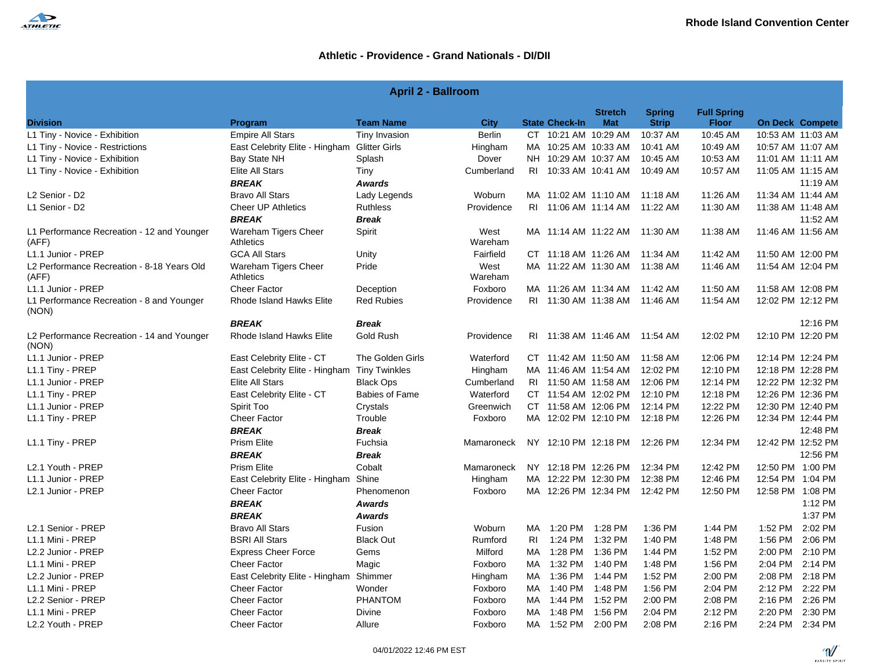

| <b>April 2 - Ballroom</b>                           |                                              |                       |                 |     |                       |                              |                               |                                    |                   |                        |  |
|-----------------------------------------------------|----------------------------------------------|-----------------------|-----------------|-----|-----------------------|------------------------------|-------------------------------|------------------------------------|-------------------|------------------------|--|
| <b>Division</b>                                     | Program                                      | <b>Team Name</b>      | <b>City</b>     |     | <b>State Check-In</b> | <b>Stretch</b><br><b>Mat</b> | <b>Spring</b><br><b>Strip</b> | <b>Full Spring</b><br><b>Floor</b> |                   | <b>On Deck Compete</b> |  |
| L1 Tiny - Novice - Exhibition                       | <b>Empire All Stars</b>                      | Tiny Invasion         | Berlin          |     | CT 10:21 AM 10:29 AM  |                              | 10:37 AM                      | 10:45 AM                           |                   | 10:53 AM 11:03 AM      |  |
| L1 Tiny - Novice - Restrictions                     | East Celebrity Elite - Hingham Glitter Girls |                       | Hingham         |     | MA 10:25 AM 10:33 AM  |                              | 10:41 AM                      | 10:49 AM                           |                   | 10:57 AM 11:07 AM      |  |
| L1 Tiny - Novice - Exhibition                       | Bay State NH                                 | Splash                | Dover           |     | NH 10:29 AM 10:37 AM  |                              | 10:45 AM                      | 10:53 AM                           |                   | 11:01 AM 11:11 AM      |  |
| L1 Tiny - Novice - Exhibition                       | <b>Elite All Stars</b>                       | Tiny                  | Cumberland      |     | RI 10:33 AM 10:41 AM  |                              | 10:49 AM                      | 10:57 AM                           |                   | 11:05 AM 11:15 AM      |  |
|                                                     | <b>BREAK</b>                                 | <b>Awards</b>         |                 |     |                       |                              |                               |                                    |                   | 11:19 AM               |  |
| L2 Senior - D2                                      | <b>Bravo All Stars</b>                       | Lady Legends          | Woburn          |     | MA 11:02 AM 11:10 AM  |                              | 11:18 AM                      | 11:26 AM                           |                   | 11:34 AM 11:44 AM      |  |
| L1 Senior - D2                                      | <b>Cheer UP Athletics</b>                    | <b>Ruthless</b>       | Providence      |     | RI 11:06 AM 11:14 AM  |                              | 11:22 AM                      | 11:30 AM                           |                   | 11:38 AM 11:48 AM      |  |
|                                                     | <b>BREAK</b>                                 | <b>Break</b>          |                 |     |                       |                              |                               |                                    |                   | 11:52 AM               |  |
| L1 Performance Recreation - 12 and Younger<br>(AFF) | Wareham Tigers Cheer<br><b>Athletics</b>     | Spirit                | West<br>Wareham |     |                       |                              | MA 11:14 AM 11:22 AM 11:30 AM | 11:38 AM                           | 11:46 AM 11:56 AM |                        |  |
| L1.1 Junior - PREP                                  | <b>GCA All Stars</b>                         | Unity                 | Fairfield       |     | CT 11:18 AM 11:26 AM  |                              | 11:34 AM                      | 11:42 AM                           |                   | 11:50 AM 12:00 PM      |  |
| L2 Performance Recreation - 8-18 Years Old<br>(AFF) | Wareham Tigers Cheer<br><b>Athletics</b>     | Pride                 | West<br>Wareham |     | MA 11:22 AM 11:30 AM  |                              | 11:38 AM                      | 11:46 AM                           |                   | 11:54 AM 12:04 PM      |  |
| L1.1 Junior - PREP                                  | <b>Cheer Factor</b>                          | Deception             | Foxboro         |     | MA 11:26 AM 11:34 AM  |                              | 11:42 AM                      | 11:50 AM                           |                   | 11:58 AM 12:08 PM      |  |
| L1 Performance Recreation - 8 and Younger<br>(NON)  | Rhode Island Hawks Elite                     | <b>Red Rubies</b>     | Providence      |     | RI 11:30 AM 11:38 AM  |                              | 11:46 AM                      | 11:54 AM                           | 12:02 PM 12:12 PM |                        |  |
|                                                     | <b>BREAK</b>                                 | <b>Break</b>          |                 |     |                       |                              |                               |                                    |                   | 12:16 PM               |  |
| L2 Performance Recreation - 14 and Younger<br>(NON) | Rhode Island Hawks Elite                     | Gold Rush             | Providence      |     | RI 11:38 AM 11:46 AM  |                              | 11:54 AM                      | 12:02 PM                           |                   | 12:10 PM 12:20 PM      |  |
| L1.1 Junior - PREP                                  | East Celebrity Elite - CT                    | The Golden Girls      | Waterford       |     | CT 11:42 AM 11:50 AM  |                              | 11:58 AM                      | 12:06 PM                           |                   | 12:14 PM 12:24 PM      |  |
| L1.1 Tiny - PREP                                    | East Celebrity Elite - Hingham Tiny Twinkles |                       | Hingham         |     | MA 11:46 AM 11:54 AM  |                              | 12:02 PM                      | 12:10 PM                           |                   | 12:18 PM 12:28 PM      |  |
| L1.1 Junior - PREP                                  | <b>Elite All Stars</b>                       | <b>Black Ops</b>      | Cumberland      |     | RI 11:50 AM 11:58 AM  |                              | 12:06 PM                      | 12:14 PM                           |                   | 12:22 PM 12:32 PM      |  |
| L1.1 Tiny - PREP                                    | East Celebrity Elite - CT                    | <b>Babies of Fame</b> | Waterford       |     | CT 11:54 AM 12:02 PM  |                              | 12:10 PM                      | 12:18 PM                           |                   | 12:26 PM 12:36 PM      |  |
| L1.1 Junior - PREP                                  | Spirit Too                                   | Crystals              | Greenwich       |     | CT 11:58 AM 12:06 PM  |                              | 12:14 PM                      | 12:22 PM                           |                   | 12:30 PM 12:40 PM      |  |
| L1.1 Tiny - PREP                                    | <b>Cheer Factor</b>                          | Trouble               | Foxboro         |     | MA 12:02 PM 12:10 PM  |                              | 12:18 PM                      | 12:26 PM                           |                   | 12:34 PM 12:44 PM      |  |
|                                                     | <b>BREAK</b>                                 | <b>Break</b>          |                 |     |                       |                              |                               |                                    |                   | 12:48 PM               |  |
| L1.1 Tiny - PREP                                    | <b>Prism Elite</b>                           | Fuchsia               | Mamaroneck      |     |                       |                              | NY 12:10 PM 12:18 PM 12:26 PM | 12:34 PM                           | 12:42 PM 12:52 PM |                        |  |
|                                                     | <b>BREAK</b>                                 | <b>Break</b>          |                 |     |                       |                              |                               |                                    |                   | 12:56 PM               |  |
| L2.1 Youth - PREP                                   | <b>Prism Elite</b>                           | Cobalt                | Mamaroneck      |     | NY 12:18 PM 12:26 PM  |                              | 12:34 PM                      | 12:42 PM                           | 12:50 PM 1:00 PM  |                        |  |
| L1.1 Junior - PREP                                  | East Celebrity Elite - Hingham Shine         |                       | Hingham         |     | MA 12:22 PM 12:30 PM  |                              | 12:38 PM                      | 12:46 PM                           | 12:54 PM 1:04 PM  |                        |  |
| L2.1 Junior - PREP                                  | <b>Cheer Factor</b>                          | Phenomenon            | Foxboro         |     | MA 12:26 PM 12:34 PM  |                              | 12:42 PM                      | 12:50 PM                           | 12:58 PM 1:08 PM  |                        |  |
|                                                     | <b>BREAK</b>                                 | <b>Awards</b>         |                 |     |                       |                              |                               |                                    |                   | 1:12 PM                |  |
|                                                     | <b>BREAK</b>                                 | <b>Awards</b>         |                 |     |                       |                              |                               |                                    |                   | 1:37 PM                |  |
| L2.1 Senior - PREP                                  | Bravo All Stars                              | Fusion                | Woburn          |     | MA 1:20 PM 1:28 PM    |                              | 1:36 PM                       | 1:44 PM                            | 1:52 PM           | 2:02 PM                |  |
| L1.1 Mini - PREP                                    | <b>BSRI All Stars</b>                        | <b>Black Out</b>      | Rumford         | RI  | 1:24 PM 1:32 PM       |                              | 1:40 PM                       | 1:48 PM                            | 1:56 PM           | 2:06 PM                |  |
| L2.2 Junior - PREP                                  | <b>Express Cheer Force</b>                   | Gems                  | Milford         |     | MA 1:28 PM 1:36 PM    |                              | 1:44 PM                       | 1:52 PM                            |                   | 2:00 PM 2:10 PM        |  |
| L1.1 Mini - PREP                                    | <b>Cheer Factor</b>                          | Magic                 | Foxboro         | MA  | 1:32 PM 1:40 PM       |                              | 1:48 PM                       | 1:56 PM                            | 2:04 PM           | 2:14 PM                |  |
| L2.2 Junior - PREP                                  | East Celebrity Elite - Hingham               | Shimmer               | Hingham         | MA  | 1:36 PM               | 1:44 PM                      | 1:52 PM                       | 2:00 PM                            | 2:08 PM           | 2:18 PM                |  |
| L1.1 Mini - PREP                                    | <b>Cheer Factor</b>                          | Wonder                | Foxboro         |     | MA 1:40 PM 1:48 PM    |                              | 1:56 PM                       | 2:04 PM                            |                   | 2:12 PM 2:22 PM        |  |
| L2.2 Senior - PREP                                  | <b>Cheer Factor</b>                          | <b>PHANTOM</b>        | Foxboro         | MA. | 1:44 PM 1:52 PM       |                              | 2:00 PM                       | 2:08 PM                            | 2:16 PM           | 2:26 PM                |  |
| L1.1 Mini - PREP                                    | Cheer Factor                                 | Divine                | Foxboro         |     | MA 1:48 PM 1:56 PM    |                              | 2:04 PM                       | 2:12 PM                            |                   | 2:20 PM 2:30 PM        |  |
| L2.2 Youth - PREP                                   | <b>Cheer Factor</b>                          | Allure                | Foxboro         |     | MA 1:52 PM 2:00 PM    |                              | 2:08 PM                       | 2:16 PM                            |                   | 2:24 PM 2:34 PM        |  |

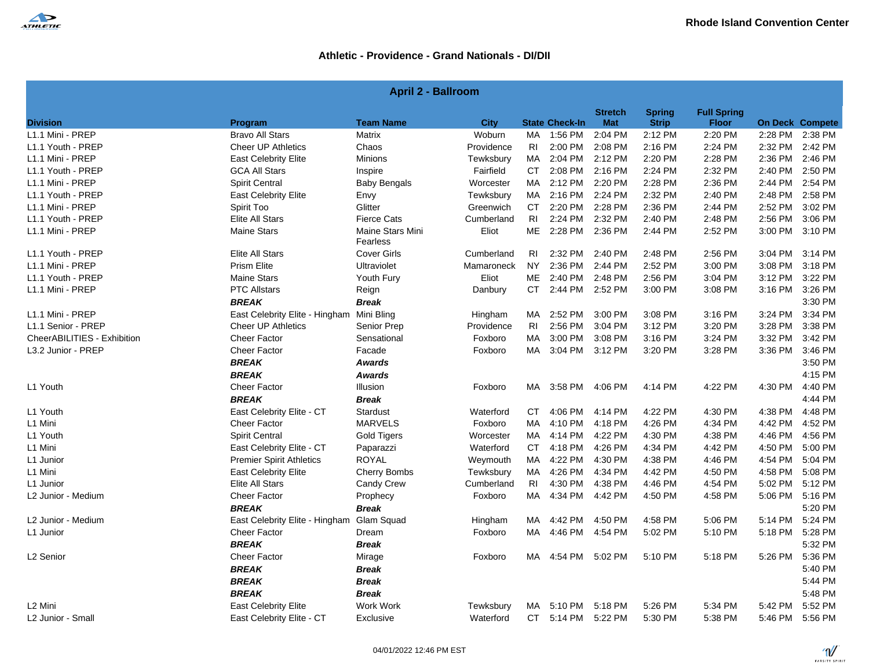

| <b>April 2 - Ballroom</b> |  |  |
|---------------------------|--|--|
|---------------------------|--|--|

| <b>Division</b>             | Program                                   | <b>Team Name</b>             | City       |                | <b>State Check-In</b> | <b>Stretch</b><br><b>Mat</b> | <b>Spring</b><br><b>Strip</b> | <b>Full Spring</b><br><b>Floor</b> |         | <b>On Deck Compete</b> |
|-----------------------------|-------------------------------------------|------------------------------|------------|----------------|-----------------------|------------------------------|-------------------------------|------------------------------------|---------|------------------------|
| L1.1 Mini - PREP            | <b>Bravo All Stars</b>                    | Matrix                       | Woburn     | MA             | 1:56 PM               | 2:04 PM                      | 2:12 PM                       | 2:20 PM                            |         | 2:28 PM 2:38 PM        |
| L1.1 Youth - PREP           | <b>Cheer UP Athletics</b>                 | Chaos                        | Providence | RI             | 2:00 PM               | 2:08 PM                      | 2:16 PM                       | 2:24 PM                            | 2:32 PM | 2:42 PM                |
| L1.1 Mini - PREP            | <b>East Celebrity Elite</b>               | <b>Minions</b>               | Tewksbury  | MA             | 2:04 PM               | 2:12 PM                      | 2:20 PM                       | 2:28 PM                            | 2:36 PM | 2:46 PM                |
| L1.1 Youth - PREP           | <b>GCA All Stars</b>                      | Inspire                      | Fairfield  | CT             | 2:08 PM               | 2:16 PM                      | 2:24 PM                       | 2:32 PM                            | 2:40 PM | 2:50 PM                |
| L1.1 Mini - PREP            | <b>Spirit Central</b>                     | <b>Baby Bengals</b>          | Worcester  | MA             | 2:12 PM               | 2:20 PM                      | 2:28 PM                       | 2:36 PM                            | 2:44 PM | 2:54 PM                |
| L1.1 Youth - PREP           | <b>East Celebrity Elite</b>               | Envy                         | Tewksbury  | MA             | 2:16 PM               | 2:24 PM                      | 2:32 PM                       | 2:40 PM                            | 2:48 PM | 2:58 PM                |
| L1.1 Mini - PREP            | Spirit Too                                | Glitter                      | Greenwich  | <b>CT</b>      | 2:20 PM               | 2:28 PM                      | 2:36 PM                       | 2:44 PM                            | 2:52 PM | 3:02 PM                |
| L1.1 Youth - PREP           | Elite All Stars                           | <b>Fierce Cats</b>           | Cumberland | R <sub>l</sub> | 2:24 PM               | 2:32 PM                      | 2:40 PM                       | 2:48 PM                            | 2:56 PM | 3:06 PM                |
| L1.1 Mini - PREP            | <b>Maine Stars</b>                        | Maine Stars Mini<br>Fearless | Eliot      | ME             | 2:28 PM               | 2:36 PM                      | 2:44 PM                       | 2:52 PM                            | 3:00 PM | 3:10 PM                |
| L1.1 Youth - PREP           | Elite All Stars                           | <b>Cover Girls</b>           | Cumberland | RI             | 2:32 PM               | 2:40 PM                      | 2:48 PM                       | 2:56 PM                            | 3:04 PM | 3:14 PM                |
| L1.1 Mini - PREP            | <b>Prism Elite</b>                        | Ultraviolet                  | Mamaroneck | <b>NY</b>      | 2:36 PM               | 2:44 PM                      | 2:52 PM                       | 3:00 PM                            | 3:08 PM | 3:18 PM                |
| L1.1 Youth - PREP           | <b>Maine Stars</b>                        | Youth Fury                   | Eliot      |                | ME 2:40 PM            | 2:48 PM                      | 2:56 PM                       | 3:04 PM                            | 3:12 PM | 3:22 PM                |
| L1.1 Mini - PREP            | <b>PTC Allstars</b>                       | Reign                        | Danbury    | CT             | 2:44 PM               | 2:52 PM                      | 3:00 PM                       | 3:08 PM                            | 3:16 PM | 3:26 PM                |
|                             | <b>BREAK</b>                              | <b>Break</b>                 |            |                |                       |                              |                               |                                    |         | 3:30 PM                |
| L1.1 Mini - PREP            | East Celebrity Elite - Hingham Mini Bling |                              | Hingham    | MA             | 2:52 PM               | 3:00 PM                      | 3:08 PM                       | 3:16 PM                            | 3:24 PM | 3:34 PM                |
| L1.1 Senior - PREP          | Cheer UP Athletics                        | Senior Prep                  | Providence | <b>RI</b>      | 2:56 PM               | 3:04 PM                      | 3:12 PM                       | 3:20 PM                            | 3:28 PM | 3:38 PM                |
| CheerABILITIES - Exhibition | Cheer Factor                              | Sensational                  | Foxboro    | MA             | 3:00 PM               | 3:08 PM                      | 3:16 PM                       | 3:24 PM                            | 3:32 PM | 3:42 PM                |
| L3.2 Junior - PREP          | <b>Cheer Factor</b>                       | Facade                       | Foxboro    | MA             | 3:04 PM               | 3:12 PM                      | 3:20 PM                       | 3:28 PM                            | 3:36 PM | 3:46 PM                |
|                             | <b>BREAK</b>                              | <b>Awards</b>                |            |                |                       |                              |                               |                                    |         | 3:50 PM                |
|                             | <b>BREAK</b>                              | <b>Awards</b>                |            |                |                       |                              |                               |                                    |         | 4:15 PM                |
| L1 Youth                    | <b>Cheer Factor</b>                       | Illusion                     | Foxboro    | MA             | 3:58 PM               | 4:06 PM                      | 4:14 PM                       | 4:22 PM                            | 4:30 PM | 4:40 PM                |
|                             | <b>BREAK</b>                              | <b>Break</b>                 |            |                |                       |                              |                               |                                    |         | 4:44 PM                |
| L1 Youth                    | East Celebrity Elite - CT                 | Stardust                     | Waterford  | CT.            | 4:06 PM               | 4:14 PM                      | 4:22 PM                       | 4:30 PM                            | 4:38 PM | 4:48 PM                |
| L1 Mini                     | <b>Cheer Factor</b>                       | <b>MARVELS</b>               | Foxboro    | MA             | 4:10 PM               | 4:18 PM                      | 4:26 PM                       | 4:34 PM                            | 4:42 PM | 4:52 PM                |
| L1 Youth                    | <b>Spirit Central</b>                     | <b>Gold Tigers</b>           | Worcester  | MA             | 4:14 PM               | 4:22 PM                      | 4:30 PM                       | 4:38 PM                            | 4:46 PM | 4:56 PM                |
| L1 Mini                     | East Celebrity Elite - CT                 | Paparazzi                    | Waterford  | CT             | 4:18 PM               | 4:26 PM                      | 4:34 PM                       | 4:42 PM                            | 4:50 PM | 5:00 PM                |
| L1 Junior                   | <b>Premier Spirit Athletics</b>           | <b>ROYAL</b>                 | Weymouth   | MA             | 4:22 PM               | 4:30 PM                      | 4:38 PM                       | 4:46 PM                            | 4:54 PM | 5:04 PM                |
| L1 Mini                     | <b>East Celebrity Elite</b>               | Cherry Bombs                 | Tewksbury  | MA             | 4:26 PM               | 4:34 PM                      | 4:42 PM                       | 4:50 PM                            | 4:58 PM | 5:08 PM                |
| L1 Junior                   | Elite All Stars                           | Candy Crew                   | Cumberland | R <sub>l</sub> | 4:30 PM               | 4:38 PM                      | 4:46 PM                       | 4:54 PM                            | 5:02 PM | 5:12 PM                |
| L2 Junior - Medium          | <b>Cheer Factor</b>                       | Prophecy                     | Foxboro    | MA             | 4:34 PM               | 4:42 PM                      | 4:50 PM                       | 4:58 PM                            |         | 5:06 PM 5:16 PM        |
|                             | <b>BREAK</b>                              | <b>Break</b>                 |            |                |                       |                              |                               |                                    |         | 5:20 PM                |
| L2 Junior - Medium          | East Celebrity Elite - Hingham            | Glam Squad                   | Hingham    | MA             | 4:42 PM               | 4:50 PM                      | 4:58 PM                       | 5:06 PM                            | 5:14 PM | 5:24 PM                |
| L1 Junior                   | <b>Cheer Factor</b>                       | Dream                        | Foxboro    | MA             | 4:46 PM               | 4:54 PM                      | 5:02 PM                       | 5:10 PM                            | 5:18 PM | 5:28 PM                |
|                             | <b>BREAK</b>                              | <b>Break</b>                 |            |                |                       |                              |                               |                                    |         | 5:32 PM                |
| L2 Senior                   | Cheer Factor                              | Mirage                       | Foxboro    |                | MA 4:54 PM            | 5:02 PM                      | 5:10 PM                       | 5:18 PM                            | 5:26 PM | 5:36 PM                |
|                             | <b>BREAK</b>                              | <b>Break</b>                 |            |                |                       |                              |                               |                                    |         | 5:40 PM                |
|                             | <b>BREAK</b>                              | <b>Break</b>                 |            |                |                       |                              |                               |                                    |         | 5:44 PM                |
|                             | <b>BREAK</b>                              | <b>Break</b>                 |            |                |                       |                              |                               |                                    |         | 5:48 PM                |
| L <sub>2</sub> Mini         | <b>East Celebrity Elite</b>               | Work Work                    | Tewksbury  | MA             | 5:10 PM               | 5:18 PM                      | 5:26 PM                       | 5:34 PM                            | 5:42 PM | 5:52 PM                |
| L2 Junior - Small           | East Celebrity Elite - CT                 | Exclusive                    | Waterford  |                | CT 5:14 PM            | 5:22 PM                      | 5:30 PM                       | 5:38 PM                            |         | 5:46 PM 5:56 PM        |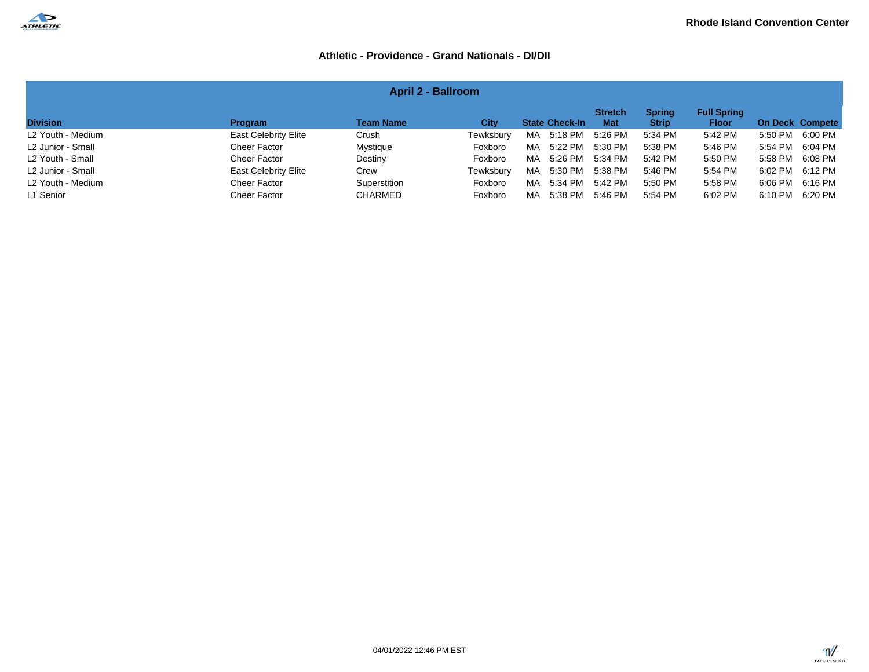

| <b>April 2 - Ballroom</b>                                                                                                                                                                                        |                             |                |           |                |         |         |         |                 |                 |  |  |  |
|------------------------------------------------------------------------------------------------------------------------------------------------------------------------------------------------------------------|-----------------------------|----------------|-----------|----------------|---------|---------|---------|-----------------|-----------------|--|--|--|
| <b>Full Spring</b><br><b>Stretch</b><br><b>Spring</b><br><b>Division</b><br><b>Team Name</b><br><b>Strip</b><br>On Deck Compete<br><b>State Check-In</b><br><b>Mat</b><br>City<br><b>Program</b><br><b>Floor</b> |                             |                |           |                |         |         |         |                 |                 |  |  |  |
| L2 Youth - Medium                                                                                                                                                                                                | <b>East Celebrity Elite</b> | Crush          | Tewksbury | 5:18 PM<br>MA. | 5:26 PM | 5:34 PM | 5:42 PM | 5:50 PM         | 6:00 PM         |  |  |  |
| L2 Junior - Small                                                                                                                                                                                                | Cheer Factor                | Mystique       | Foxboro   | 5:22 PM<br>MA  | 5:30 PM | 5:38 PM | 5:46 PM | 5:54 PM         | 6:04 PM         |  |  |  |
| L2 Youth - Small                                                                                                                                                                                                 | Cheer Factor                | Destiny        | Foxboro   | 5:26 PM<br>MA  | 5:34 PM | 5:42 PM | 5:50 PM | 5:58 PM 6:08 PM |                 |  |  |  |
| L2 Junior - Small                                                                                                                                                                                                | <b>East Celebrity Elite</b> | Crew           | Tewksbury | 5:30 PM<br>MA. | 5:38 PM | 5:46 PM | 5:54 PM |                 | 6:02 PM 6:12 PM |  |  |  |
| L2 Youth - Medium                                                                                                                                                                                                | Cheer Factor                | Superstition   | Foxboro   | 5:34 PM<br>MA. | 5:42 PM | 5:50 PM | 5:58 PM | 6:06 PM         | 6:16 PM         |  |  |  |
| L1 Senior                                                                                                                                                                                                        | Cheer Factor                | <b>CHARMED</b> | Foxboro   | 5:38 PM<br>MA. | 5:46 PM | 5:54 PM | 6:02 PM | 6:10 PM         | 6:20 PM         |  |  |  |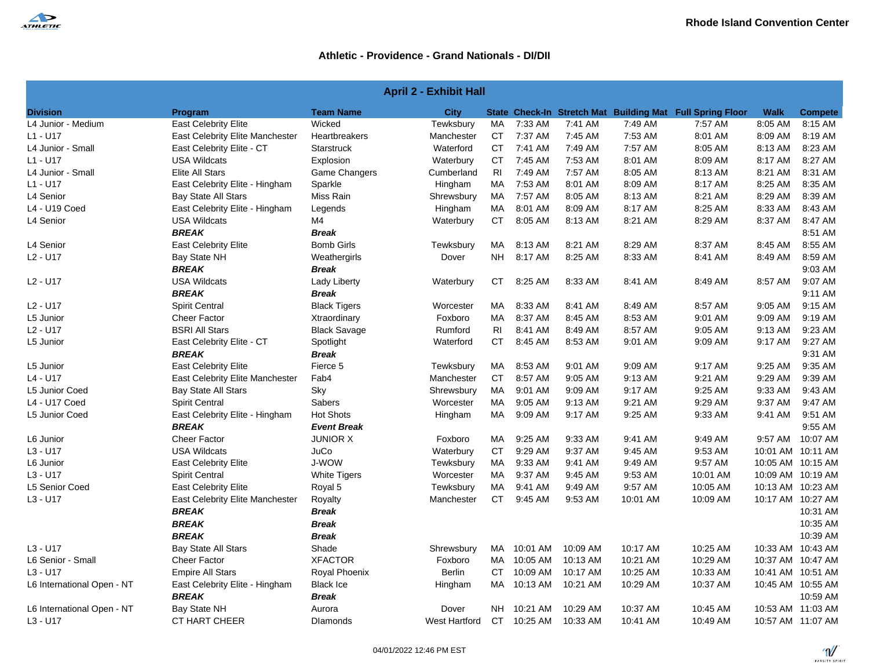

| <b>April 2 - Exhibit Hall</b> |                                 |                     |               |                |             |          |          |                                                           |         |                   |
|-------------------------------|---------------------------------|---------------------|---------------|----------------|-------------|----------|----------|-----------------------------------------------------------|---------|-------------------|
| <b>Division</b>               | Program                         | <b>Team Name</b>    | City          |                |             |          |          | State Check-In Stretch Mat Building Mat Full Spring Floor | Walk    | <b>Compete</b>    |
| L4 Junior - Medium            | <b>East Celebrity Elite</b>     | Wicked              | Tewksbury     | MA             | 7:33 AM     | 7:41 AM  | 7:49 AM  | 7:57 AM                                                   | 8:05 AM | 8:15 AM           |
| $L1 - U17$                    | East Celebrity Elite Manchester | Heartbreakers       | Manchester    | <b>CT</b>      | 7:37 AM     | 7:45 AM  | 7:53 AM  | 8:01 AM                                                   | 8:09 AM | 8:19 AM           |
| L4 Junior - Small             | East Celebrity Elite - CT       | <b>Starstruck</b>   | Waterford     | <b>CT</b>      | 7:41 AM     | 7:49 AM  | 7:57 AM  | 8:05 AM                                                   | 8:13 AM | 8:23 AM           |
| $L1 - U17$                    | <b>USA Wildcats</b>             | Explosion           | Waterbury     | СT             | 7:45 AM     | 7:53 AM  | 8:01 AM  | 8:09 AM                                                   | 8:17 AM | 8:27 AM           |
| L4 Junior - Small             | <b>Elite All Stars</b>          | Game Changers       | Cumberland    | R <sub>l</sub> | 7:49 AM     | 7:57 AM  | 8:05 AM  | 8:13 AM                                                   | 8:21 AM | 8:31 AM           |
| $L1 - U17$                    | East Celebrity Elite - Hingham  | Sparkle             | Hingham       | МA             | 7:53 AM     | 8:01 AM  | 8:09 AM  | 8:17 AM                                                   | 8:25 AM | 8:35 AM           |
| L4 Senior                     | <b>Bay State All Stars</b>      | Miss Rain           | Shrewsbury    | MA             | 7:57 AM     | 8:05 AM  | 8:13 AM  | 8:21 AM                                                   | 8:29 AM | 8:39 AM           |
| L4 - U19 Coed                 | East Celebrity Elite - Hingham  | Legends             | Hingham       | МA             | 8:01 AM     | 8:09 AM  | 8:17 AM  | 8:25 AM                                                   | 8:33 AM | 8:43 AM           |
| L4 Senior                     | <b>USA Wildcats</b>             | M <sub>4</sub>      | Waterbury     | СT             | 8:05 AM     | 8:13 AM  | 8:21 AM  | 8:29 AM                                                   | 8:37 AM | 8:47 AM           |
|                               | <b>BREAK</b>                    | <b>Break</b>        |               |                |             |          |          |                                                           |         | 8:51 AM           |
| L4 Senior                     | <b>East Celebrity Elite</b>     | <b>Bomb Girls</b>   | Tewksbury     | MA             | 8:13 AM     | 8:21 AM  | 8:29 AM  | 8:37 AM                                                   | 8:45 AM | 8:55 AM           |
| L2 - U17                      | Bay State NH                    | Weathergirls        | Dover         | NH.            | 8:17 AM     | 8:25 AM  | 8:33 AM  | 8:41 AM                                                   | 8:49 AM | 8:59 AM           |
|                               | <b>BREAK</b>                    | Break               |               |                |             |          |          |                                                           |         | 9:03 AM           |
| $L2 - U17$                    | <b>USA Wildcats</b>             | Lady Liberty        | Waterbury     | CT             | 8:25 AM     | 8:33 AM  | 8:41 AM  | 8:49 AM                                                   | 8:57 AM | 9:07 AM           |
|                               | <b>BREAK</b>                    | <b>Break</b>        |               |                |             |          |          |                                                           |         | 9:11 AM           |
| L2 - U17                      | <b>Spirit Central</b>           | <b>Black Tigers</b> | Worcester     | МA             | 8:33 AM     | 8:41 AM  | 8:49 AM  | 8:57 AM                                                   | 9:05 AM | 9:15 AM           |
| L5 Junior                     | <b>Cheer Factor</b>             | Xtraordinary        | Foxboro       | МA             | 8:37 AM     | 8:45 AM  | 8:53 AM  | 9:01 AM                                                   | 9:09 AM | 9:19 AM           |
| L2 - U17                      | <b>BSRI All Stars</b>           | <b>Black Savage</b> | Rumford       | RI             | 8:41 AM     | 8:49 AM  | 8:57 AM  | 9:05 AM                                                   | 9:13 AM | 9:23 AM           |
| L5 Junior                     | East Celebrity Elite - CT       | Spotlight           | Waterford     | СT             | 8:45 AM     | 8:53 AM  | 9:01 AM  | 9:09 AM                                                   | 9:17 AM | 9:27 AM           |
|                               | <b>BREAK</b>                    | <b>Break</b>        |               |                |             |          |          |                                                           |         | 9:31 AM           |
| L5 Junior                     | <b>East Celebrity Elite</b>     | Fierce 5            | Tewksbury     | MA             | 8:53 AM     | 9:01 AM  | 9:09 AM  | 9:17 AM                                                   | 9:25 AM | 9:35 AM           |
| L4 - U17                      | East Celebrity Elite Manchester | Fab4                | Manchester    | CT             | 8:57 AM     | 9:05 AM  | 9:13 AM  | 9:21 AM                                                   | 9:29 AM | 9:39 AM           |
| L5 Junior Coed                | <b>Bay State All Stars</b>      | Sky                 | Shrewsbury    | <b>MA</b>      | 9:01 AM     | 9:09 AM  | 9:17 AM  | 9:25 AM                                                   | 9:33 AM | 9:43 AM           |
| L4 - U17 Coed                 | <b>Spirit Central</b>           | Sabers              | Worcester     | MA             | 9:05 AM     | 9:13 AM  | 9:21 AM  | 9:29 AM                                                   | 9:37 AM | 9:47 AM           |
| L5 Junior Coed                | East Celebrity Elite - Hingham  | <b>Hot Shots</b>    | Hingham       | MA             | 9:09 AM     | 9:17 AM  | 9:25 AM  | 9:33 AM                                                   | 9:41 AM | 9:51 AM           |
|                               | <b>BREAK</b>                    | <b>Event Break</b>  |               |                |             |          |          |                                                           |         | 9:55 AM           |
| L6 Junior                     | Cheer Factor                    | <b>JUNIOR X</b>     | Foxboro       | <b>MA</b>      | 9:25 AM     | 9:33 AM  | 9:41 AM  | 9:49 AM                                                   | 9:57 AM | 10:07 AM          |
| $L3 - U17$                    | <b>USA Wildcats</b>             | JuCo                | Waterbury     | СT             | 9:29 AM     | 9:37 AM  | 9:45 AM  | 9:53 AM                                                   |         | 10:01 AM 10:11 AM |
| L6 Junior                     | <b>East Celebrity Elite</b>     | J-WOW               | Tewksbury     | MA             | 9:33 AM     | 9:41 AM  | 9:49 AM  | 9:57 AM                                                   |         | 10:05 AM 10:15 AM |
| $L3 - U17$                    | <b>Spirit Central</b>           | <b>White Tigers</b> | Worcester     | <b>MA</b>      | 9:37 AM     | 9:45 AM  | 9:53 AM  | 10:01 AM                                                  |         | 10:09 AM 10:19 AM |
| L5 Senior Coed                | <b>East Celebrity Elite</b>     | Royal 5             | Tewksbury     | MA             | 9:41 AM     | 9:49 AM  | 9:57 AM  | 10:05 AM                                                  |         | 10:13 AM 10:23 AM |
| $L3 - U17$                    | East Celebrity Elite Manchester | Royalty             | Manchester    | CT             | 9:45 AM     | 9:53 AM  | 10:01 AM | 10:09 AM                                                  |         | 10:17 AM 10:27 AM |
|                               | <b>BREAK</b>                    | <b>Break</b>        |               |                |             |          |          |                                                           |         | 10:31 AM          |
|                               | <b>BREAK</b>                    | <b>Break</b>        |               |                |             |          |          |                                                           |         | 10:35 AM          |
|                               | <b>BREAK</b>                    | Break               |               |                |             |          |          |                                                           |         | 10:39 AM          |
| $L3 - U17$                    | <b>Bay State All Stars</b>      | Shade               | Shrewsbury    | MA.            | 10:01 AM    | 10:09 AM | 10:17 AM | 10:25 AM                                                  |         | 10:33 AM 10:43 AM |
| L6 Senior - Small             | <b>Cheer Factor</b>             | <b>XFACTOR</b>      | Foxboro       | MA             | 10:05 AM    | 10:13 AM | 10:21 AM | 10:29 AM                                                  |         | 10:37 AM 10:47 AM |
| L3 - U17                      | <b>Empire All Stars</b>         | Royal Phoenix       | <b>Berlin</b> | СT             | 10:09 AM    | 10:17 AM | 10:25 AM | 10:33 AM                                                  |         | 10:41 AM 10:51 AM |
| L6 International Open - NT    | East Celebrity Elite - Hingham  | <b>Black Ice</b>    | Hingham       | MA.            | 10:13 AM    | 10:21 AM | 10:29 AM | 10:37 AM                                                  |         | 10:45 AM 10:55 AM |
|                               | <b>BREAK</b>                    | <b>Break</b>        |               |                |             |          |          |                                                           |         | 10:59 AM          |
| L6 International Open - NT    | Bay State NH                    | Aurora              | Dover         | NH.            | 10:21 AM    | 10:29 AM | 10:37 AM | 10:45 AM                                                  |         | 10:53 AM 11:03 AM |
| $L3 - U17$                    | <b>CT HART CHEER</b>            | <b>Dlamonds</b>     | West Hartford |                | CT 10:25 AM | 10:33 AM | 10:41 AM | 10:49 AM                                                  |         | 10:57 AM 11:07 AM |

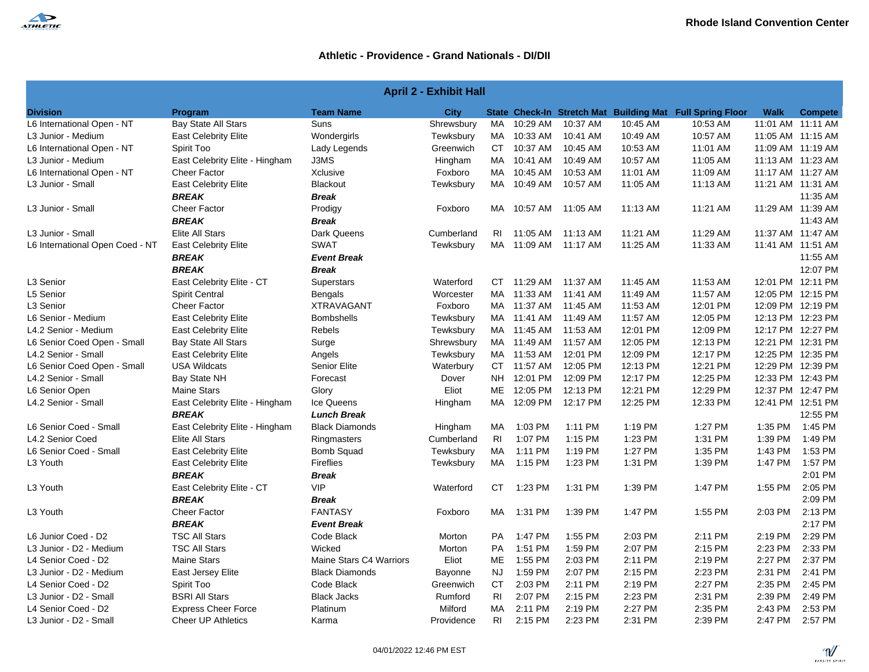

| <b>April 2 - Exhibit Hall</b>   |                                |                         |             |                |                      |          |          |                                                           |                   |                |
|---------------------------------|--------------------------------|-------------------------|-------------|----------------|----------------------|----------|----------|-----------------------------------------------------------|-------------------|----------------|
| <b>Division</b>                 | Program                        | <b>Team Name</b>        | <b>City</b> |                |                      |          |          | State Check-In Stretch Mat Building Mat Full Spring Floor | <b>Walk</b>       | <b>Compete</b> |
| L6 International Open - NT      | Bay State All Stars            | Suns                    | Shrewsbury  | MA             | 10:29 AM             | 10:37 AM | 10:45 AM | 10:53 AM                                                  | 11:01 AM 11:11 AM |                |
| L3 Junior - Medium              | <b>East Celebrity Elite</b>    | Wondergirls             | Tewksbury   |                | MA 10:33 AM          | 10:41 AM | 10:49 AM | 10:57 AM                                                  | 11:05 AM 11:15 AM |                |
| L6 International Open - NT      | Spirit Too                     | Lady Legends            | Greenwich   | <b>CT</b>      | 10:37 AM             | 10:45 AM | 10:53 AM | 11:01 AM                                                  | 11:09 AM 11:19 AM |                |
| L3 Junior - Medium              | East Celebrity Elite - Hingham | J3MS                    | Hingham     | MA             | 10:41 AM             | 10:49 AM | 10:57 AM | 11:05 AM                                                  | 11:13 AM 11:23 AM |                |
| L6 International Open - NT      | <b>Cheer Factor</b>            | Xclusive                | Foxboro     | MA             | 10:45 AM             | 10:53 AM | 11:01 AM | 11:09 AM                                                  | 11:17 AM 11:27 AM |                |
| L3 Junior - Small               | <b>East Celebrity Elite</b>    | Blackout                | Tewksbury   | MA             | 10:49 AM             | 10:57 AM | 11:05 AM | 11:13 AM                                                  | 11:21 AM 11:31 AM |                |
|                                 | <b>BREAK</b>                   | <b>Break</b>            |             |                |                      |          |          |                                                           |                   | 11:35 AM       |
| L3 Junior - Small               | <b>Cheer Factor</b>            | Prodigy                 | Foxboro     |                | MA 10:57 AM 11:05 AM |          | 11:13 AM | 11:21 AM                                                  | 11:29 AM 11:39 AM |                |
|                                 | <b>BREAK</b>                   | <b>Break</b>            |             |                |                      |          |          |                                                           |                   | 11:43 AM       |
| L3 Junior - Small               | <b>Elite All Stars</b>         | Dark Queens             | Cumberland  | RI             | 11:05 AM             | 11:13 AM | 11:21 AM | 11:29 AM                                                  | 11:37 AM 11:47 AM |                |
| L6 International Open Coed - NT | <b>East Celebrity Elite</b>    | <b>SWAT</b>             | Tewksbury   |                | MA 11:09 AM 11:17 AM |          | 11:25 AM | 11:33 AM                                                  | 11:41 AM 11:51 AM |                |
|                                 | <b>BREAK</b>                   | <b>Event Break</b>      |             |                |                      |          |          |                                                           |                   | 11:55 AM       |
|                                 | <b>BREAK</b>                   | <b>Break</b>            |             |                |                      |          |          |                                                           |                   | 12:07 PM       |
| L3 Senior                       | East Celebrity Elite - CT      | Superstars              | Waterford   |                | CT 11:29 AM          | 11:37 AM | 11:45 AM | 11:53 AM                                                  | 12:01 PM 12:11 PM |                |
| L5 Senior                       | <b>Spirit Central</b>          | <b>Bengals</b>          | Worcester   |                | MA 11:33 AM          | 11:41 AM | 11:49 AM | 11:57 AM                                                  | 12:05 PM 12:15 PM |                |
| L <sub>3</sub> Senior           | <b>Cheer Factor</b>            | <b>XTRAVAGANT</b>       | Foxboro     |                | MA 11:37 AM 11:45 AM |          | 11:53 AM | 12:01 PM                                                  | 12:09 PM 12:19 PM |                |
| L6 Senior - Medium              | <b>East Celebrity Elite</b>    | <b>Bombshells</b>       | Tewksbury   |                | MA 11:41 AM          | 11:49 AM | 11:57 AM | 12:05 PM                                                  | 12:13 PM 12:23 PM |                |
| L4.2 Senior - Medium            | <b>East Celebrity Elite</b>    | <b>Rebels</b>           | Tewksbury   |                | MA 11:45 AM          | 11:53 AM | 12:01 PM | 12:09 PM                                                  | 12:17 PM 12:27 PM |                |
| L6 Senior Coed Open - Small     | <b>Bay State All Stars</b>     | Surge                   | Shrewsbury  |                | MA 11:49 AM 11:57 AM |          | 12:05 PM | 12:13 PM                                                  | 12:21 PM 12:31 PM |                |
| L4.2 Senior - Small             | <b>East Celebrity Elite</b>    | Angels                  | Tewksbury   |                | MA 11:53 AM          | 12:01 PM | 12:09 PM | 12:17 PM                                                  | 12:25 PM 12:35 PM |                |
| L6 Senior Coed Open - Small     | <b>USA Wildcats</b>            | <b>Senior Elite</b>     | Waterbury   |                | CT 11:57 AM          | 12:05 PM | 12:13 PM | 12:21 PM                                                  | 12:29 PM 12:39 PM |                |
| L4.2 Senior - Small             | <b>Bay State NH</b>            | Forecast                | Dover       | NH.            | 12:01 PM             | 12:09 PM | 12:17 PM | 12:25 PM                                                  | 12:33 PM 12:43 PM |                |
| L6 Senior Open                  | <b>Maine Stars</b>             | Glory                   | Eliot       | ME             | 12:05 PM             | 12:13 PM | 12:21 PM | 12:29 PM                                                  | 12:37 PM 12:47 PM |                |
| L4.2 Senior - Small             | East Celebrity Elite - Hingham | Ice Queens              | Hingham     | MA             | 12:09 PM             | 12:17 PM | 12:25 PM | 12:33 PM                                                  | 12:41 PM 12:51 PM |                |
|                                 | <b>BREAK</b>                   | <b>Lunch Break</b>      |             |                |                      |          |          |                                                           |                   | 12:55 PM       |
| L6 Senior Coed - Small          | East Celebrity Elite - Hingham | <b>Black Diamonds</b>   | Hingham     | MA.            | 1:03 PM              | 1:11 PM  | 1:19 PM  | 1:27 PM                                                   | 1:35 PM           | 1:45 PM        |
| L4.2 Senior Coed                | Elite All Stars                | Ringmasters             | Cumberland  | R <sub>1</sub> | 1:07 PM              | 1:15 PM  | 1:23 PM  | 1:31 PM                                                   | 1:39 PM           | 1:49 PM        |
| L6 Senior Coed - Small          | <b>East Celebrity Elite</b>    | <b>Bomb Squad</b>       | Tewksbury   | МA             | 1:11 PM              | 1:19 PM  | 1:27 PM  | 1:35 PM                                                   | 1:43 PM           | 1:53 PM        |
| L <sub>3</sub> Youth            | <b>East Celebrity Elite</b>    | Fireflies               | Tewksbury   | <b>MA</b>      | 1:15 PM              | 1:23 PM  | 1:31 PM  | 1:39 PM                                                   | 1:47 PM           | 1:57 PM        |
|                                 | <b>BREAK</b>                   | <b>Break</b>            |             |                |                      |          |          |                                                           |                   | 2:01 PM        |
| L <sub>3</sub> Youth            | East Celebrity Elite - CT      | <b>VIP</b>              | Waterford   | CT.            | 1:23 PM              | 1:31 PM  | 1:39 PM  | 1:47 PM                                                   | 1:55 PM           | 2:05 PM        |
|                                 | <b>BREAK</b>                   | <b>Break</b>            |             |                |                      |          |          |                                                           |                   | 2:09 PM        |
| L3 Youth                        | <b>Cheer Factor</b>            | <b>FANTASY</b>          | Foxboro     | MA             | 1:31 PM              | 1:39 PM  | 1:47 PM  | 1:55 PM                                                   | 2:03 PM           | 2:13 PM        |
|                                 | <b>BREAK</b>                   | <b>Event Break</b>      |             |                |                      |          |          |                                                           |                   | 2:17 PM        |
| L6 Junior Coed - D2             | <b>TSC All Stars</b>           | Code Black              | Morton      | <b>PA</b>      | 1:47 PM              | 1:55 PM  | 2:03 PM  | 2:11 PM                                                   | 2:19 PM           | 2:29 PM        |
| L3 Junior - D2 - Medium         | <b>TSC All Stars</b>           | Wicked                  | Morton      | <b>PA</b>      | 1:51 PM              | 1:59 PM  | 2:07 PM  | 2:15 PM                                                   | 2:23 PM           | 2:33 PM        |
| L4 Senior Coed - D2             | <b>Maine Stars</b>             | Maine Stars C4 Warriors | Eliot       | ME             | 1:55 PM              | 2:03 PM  | 2:11 PM  | 2:19 PM                                                   | 2:27 PM           | 2:37 PM        |
| L3 Junior - D2 - Medium         | East Jersey Elite              | <b>Black Diamonds</b>   | Bayonne     | NJ.            | 1:59 PM              | 2:07 PM  | 2:15 PM  | 2:23 PM                                                   | 2:31 PM           | 2:41 PM        |
| L4 Senior Coed - D2             | Spirit Too                     | Code Black              | Greenwich   | СT             | 2:03 PM              | 2:11 PM  | 2:19 PM  | 2:27 PM                                                   | 2:35 PM           | 2:45 PM        |
| L3 Junior - D2 - Small          | <b>BSRI All Stars</b>          | <b>Black Jacks</b>      | Rumford     | RI             | 2:07 PM              | 2:15 PM  | 2:23 PM  | 2:31 PM                                                   | 2:39 PM           | 2:49 PM        |
| L4 Senior Coed - D2             | <b>Express Cheer Force</b>     | Platinum                | Milford     | MA             | 2:11 PM              | 2:19 PM  | 2:27 PM  | 2:35 PM                                                   | 2:43 PM           | 2:53 PM        |
| L3 Junior - D2 - Small          | <b>Cheer UP Athletics</b>      | Karma                   | Providence  | RI             | 2:15 PM              | 2:23 PM  | 2:31 PM  | 2:39 PM                                                   | 2:47 PM           | 2:57 PM        |

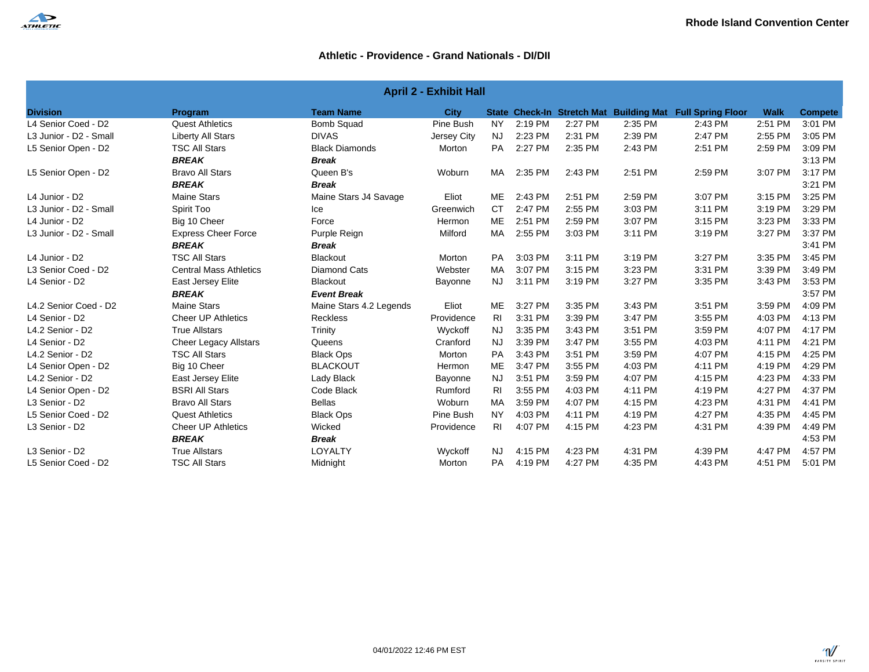

| <b>April 2 - Exhibit Hall</b> |                               |                         |             |           |         |         |         |                                                           |             |                |  |
|-------------------------------|-------------------------------|-------------------------|-------------|-----------|---------|---------|---------|-----------------------------------------------------------|-------------|----------------|--|
| <b>Division</b>               | Program                       | <b>Team Name</b>        | <b>City</b> |           |         |         |         | State Check-In Stretch Mat Building Mat Full Spring Floor | <b>Walk</b> | <b>Compete</b> |  |
| L4 Senior Coed - D2           | <b>Quest Athletics</b>        | <b>Bomb Squad</b>       | Pine Bush   | <b>NY</b> | 2:19 PM | 2:27 PM | 2:35 PM | 2:43 PM                                                   | 2:51 PM     | 3:01 PM        |  |
| L3 Junior - D2 - Small        | <b>Liberty All Stars</b>      | <b>DIVAS</b>            | Jersey City | NJ        | 2:23 PM | 2:31 PM | 2:39 PM | 2:47 PM                                                   | 2:55 PM     | 3:05 PM        |  |
| L5 Senior Open - D2           | <b>TSC All Stars</b>          | <b>Black Diamonds</b>   | Morton      | <b>PA</b> | 2:27 PM | 2:35 PM | 2:43 PM | 2:51 PM                                                   | 2:59 PM     | 3:09 PM        |  |
|                               | <b>BREAK</b>                  | <b>Break</b>            |             |           |         |         |         |                                                           |             | 3:13 PM        |  |
| L5 Senior Open - D2           | <b>Bravo All Stars</b>        | Queen B's               | Woburn      | MA        | 2:35 PM | 2:43 PM | 2:51 PM | 2:59 PM                                                   | 3:07 PM     | 3:17 PM        |  |
|                               | <b>BREAK</b>                  | <b>Break</b>            |             |           |         |         |         |                                                           |             | 3:21 PM        |  |
| L4 Junior - D2                | <b>Maine Stars</b>            | Maine Stars J4 Savage   | Eliot       | ME        | 2:43 PM | 2:51 PM | 2:59 PM | 3:07 PM                                                   | 3:15 PM     | 3:25 PM        |  |
| L3 Junior - D2 - Small        | Spirit Too                    | Ice                     | Greenwich   | <b>CT</b> | 2:47 PM | 2:55 PM | 3:03 PM | 3:11 PM                                                   | 3:19 PM     | 3:29 PM        |  |
| L4 Junior - D2                | Big 10 Cheer                  | Force                   | Hermon      | ME        | 2:51 PM | 2:59 PM | 3:07 PM | 3:15 PM                                                   | 3:23 PM     | 3:33 PM        |  |
| L3 Junior - D2 - Small        | <b>Express Cheer Force</b>    | Purple Reign            | Milford     | MA        | 2:55 PM | 3:03 PM | 3:11 PM | 3:19 PM                                                   | 3:27 PM     | 3:37 PM        |  |
|                               | <b>BREAK</b>                  | <b>Break</b>            |             |           |         |         |         |                                                           |             | 3:41 PM        |  |
| L4 Junior - D2                | <b>TSC All Stars</b>          | <b>Blackout</b>         | Morton      | <b>PA</b> | 3:03 PM | 3:11 PM | 3:19 PM | 3:27 PM                                                   | 3:35 PM     | 3:45 PM        |  |
| L3 Senior Coed - D2           | <b>Central Mass Athletics</b> | <b>Diamond Cats</b>     | Webster     | <b>MA</b> | 3:07 PM | 3:15 PM | 3:23 PM | 3:31 PM                                                   | 3:39 PM     | 3:49 PM        |  |
| L4 Senior - D2                | East Jersey Elite             | <b>Blackout</b>         | Bayonne     | <b>NJ</b> | 3:11 PM | 3:19 PM | 3:27 PM | 3:35 PM                                                   | 3:43 PM     | 3:53 PM        |  |
|                               | <b>BREAK</b>                  | <b>Event Break</b>      |             |           |         |         |         |                                                           |             | 3:57 PM        |  |
| L4.2 Senior Coed - D2         | <b>Maine Stars</b>            | Maine Stars 4.2 Legends | Eliot       | ME        | 3:27 PM | 3:35 PM | 3:43 PM | 3:51 PM                                                   | 3:59 PM     | 4:09 PM        |  |
| L4 Senior - D2                | <b>Cheer UP Athletics</b>     | <b>Reckless</b>         | Providence  | RI.       | 3:31 PM | 3:39 PM | 3:47 PM | 3:55 PM                                                   | 4:03 PM     | 4:13 PM        |  |
| L4.2 Senior - D2              | <b>True Allstars</b>          | Trinity                 | Wyckoff     | <b>NJ</b> | 3:35 PM | 3:43 PM | 3:51 PM | 3:59 PM                                                   | 4:07 PM     | 4:17 PM        |  |
| L4 Senior - D2                | <b>Cheer Legacy Allstars</b>  | Queens                  | Cranford    | <b>NJ</b> | 3:39 PM | 3:47 PM | 3:55 PM | 4:03 PM                                                   | 4:11 PM     | 4:21 PM        |  |
| L4.2 Senior - D2              | <b>TSC All Stars</b>          | <b>Black Ops</b>        | Morton      | <b>PA</b> | 3:43 PM | 3:51 PM | 3:59 PM | 4:07 PM                                                   | 4:15 PM     | 4:25 PM        |  |
| L4 Senior Open - D2           | Big 10 Cheer                  | <b>BLACKOUT</b>         | Hermon      | ME        | 3:47 PM | 3:55 PM | 4:03 PM | 4:11 PM                                                   | 4:19 PM     | 4:29 PM        |  |
| L4.2 Senior - D2              | East Jersey Elite             | Lady Black              | Bayonne     | <b>NJ</b> | 3:51 PM | 3:59 PM | 4:07 PM | 4:15 PM                                                   | 4:23 PM     | 4:33 PM        |  |
| L4 Senior Open - D2           | <b>BSRI All Stars</b>         | Code Black              | Rumford     | <b>RI</b> | 3:55 PM | 4:03 PM | 4:11 PM | 4:19 PM                                                   | 4:27 PM     | 4:37 PM        |  |
| L3 Senior - D2                | <b>Bravo All Stars</b>        | <b>Bellas</b>           | Woburn      | МA        | 3:59 PM | 4:07 PM | 4:15 PM | 4:23 PM                                                   | 4:31 PM     | 4:41 PM        |  |
| L5 Senior Coed - D2           | <b>Quest Athletics</b>        | <b>Black Ops</b>        | Pine Bush   | <b>NY</b> | 4:03 PM | 4:11 PM | 4:19 PM | 4:27 PM                                                   | 4:35 PM     | 4:45 PM        |  |
| L3 Senior - D2                | <b>Cheer UP Athletics</b>     | Wicked                  | Providence  | <b>RI</b> | 4:07 PM | 4:15 PM | 4:23 PM | 4:31 PM                                                   | 4:39 PM     | 4:49 PM        |  |
|                               | <b>BREAK</b>                  | <b>Break</b>            |             |           |         |         |         |                                                           |             | 4:53 PM        |  |
| L3 Senior - D2                | <b>True Allstars</b>          | LOYALTY                 | Wyckoff     | <b>NJ</b> | 4:15 PM | 4:23 PM | 4:31 PM | 4:39 PM                                                   | 4:47 PM     | 4:57 PM        |  |
| L5 Senior Coed - D2           | <b>TSC All Stars</b>          | Midnight                | Morton      | <b>PA</b> | 4:19 PM | 4:27 PM | 4:35 PM | 4:43 PM                                                   | 4:51 PM     | 5:01 PM        |  |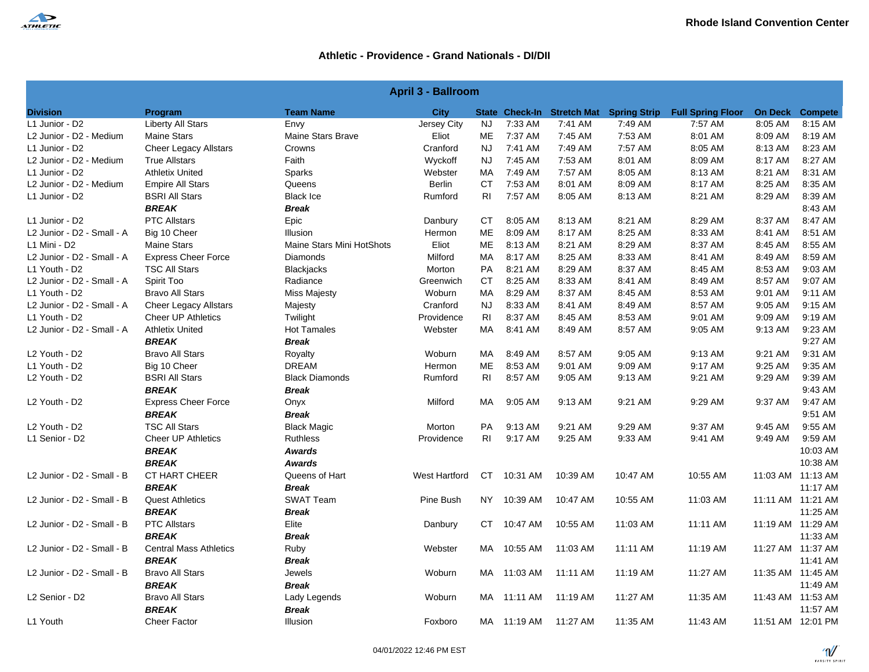

| <b>April 3 - Ballroom</b>             |                               |                           |                      |                |             |          |                                         |                          |         |                        |
|---------------------------------------|-------------------------------|---------------------------|----------------------|----------------|-------------|----------|-----------------------------------------|--------------------------|---------|------------------------|
| <b>Division</b>                       | Program                       | <b>Team Name</b>          | <b>City</b>          |                |             |          | State Check-In Stretch Mat Spring Strip | <b>Full Spring Floor</b> |         | <b>On Deck Compete</b> |
| L1 Junior - D2                        | <b>Liberty All Stars</b>      | Envy                      | Jersey City          | <b>NJ</b>      | 7:33 AM     | 7:41 AM  | 7:49 AM                                 | 7:57 AM                  | 8:05 AM | 8:15 AM                |
| L2 Junior - D2 - Medium               | <b>Maine Stars</b>            | <b>Maine Stars Brave</b>  | Eliot                | ME             | 7:37 AM     | 7:45 AM  | 7:53 AM                                 | 8:01 AM                  | 8:09 AM | 8:19 AM                |
| L1 Junior - D2                        | <b>Cheer Legacy Allstars</b>  | Crowns                    | Cranford             | <b>NJ</b>      | 7:41 AM     | 7:49 AM  | 7:57 AM                                 | 8:05 AM                  | 8:13 AM | 8:23 AM                |
| L2 Junior - D2 - Medium               | <b>True Allstars</b>          | Faith                     | Wyckoff              | <b>NJ</b>      | 7:45 AM     | 7:53 AM  | 8:01 AM                                 | 8:09 AM                  | 8:17 AM | 8:27 AM                |
| L1 Junior - D2                        | <b>Athletix United</b>        | Sparks                    | Webster              | MA             | 7:49 AM     | 7:57 AM  | 8:05 AM                                 | 8:13 AM                  | 8:21 AM | 8:31 AM                |
| L2 Junior - D2 - Medium               | <b>Empire All Stars</b>       | Queens                    | <b>Berlin</b>        | <b>CT</b>      | 7:53 AM     | 8:01 AM  | 8:09 AM                                 | 8:17 AM                  | 8:25 AM | 8:35 AM                |
| L1 Junior - D2                        | <b>BSRI All Stars</b>         | <b>Black Ice</b>          | Rumford              | RI             | 7:57 AM     | 8:05 AM  | 8:13 AM                                 | 8:21 AM                  | 8:29 AM | 8:39 AM                |
|                                       | BREAK                         | <b>Break</b>              |                      |                |             |          |                                         |                          |         | 8:43 AM                |
| L1 Junior - D2                        | <b>PTC Allstars</b>           | Epic                      | Danbury              | <b>CT</b>      | 8:05 AM     | 8:13 AM  | 8:21 AM                                 | 8:29 AM                  | 8:37 AM | 8:47 AM                |
| L2 Junior - D2 - Small - A            | Big 10 Cheer                  | Illusion                  | Hermon               | <b>ME</b>      | 8:09 AM     | 8:17 AM  | 8:25 AM                                 | 8:33 AM                  | 8:41 AM | 8:51 AM                |
| L1 Mini - D2                          | <b>Maine Stars</b>            | Maine Stars Mini HotShots | Eliot                | ME             | 8:13 AM     | 8:21 AM  | 8:29 AM                                 | 8:37 AM                  | 8:45 AM | 8:55 AM                |
| L2 Junior - D2 - Small - A            | <b>Express Cheer Force</b>    | <b>Diamonds</b>           | Milford              | MA             | 8:17 AM     | 8:25 AM  | 8:33 AM                                 | 8:41 AM                  | 8:49 AM | 8:59 AM                |
| L1 Youth - D2                         | <b>TSC All Stars</b>          | <b>Blackjacks</b>         | Morton               | <b>PA</b>      | 8:21 AM     | 8:29 AM  | 8:37 AM                                 | 8:45 AM                  | 8:53 AM | 9:03 AM                |
| L2 Junior - D2 - Small - A            | Spirit Too                    | Radiance                  | Greenwich            | <b>CT</b>      | 8:25 AM     | 8:33 AM  | 8:41 AM                                 | 8:49 AM                  | 8:57 AM | 9:07 AM                |
| L1 Youth - D2                         | <b>Bravo All Stars</b>        | <b>Miss Majesty</b>       | Woburn               | <b>MA</b>      | 8:29 AM     | 8:37 AM  | 8:45 AM                                 | 8:53 AM                  | 9:01 AM | 9:11 AM                |
| L2 Junior - D2 - Small - A            | <b>Cheer Legacy Allstars</b>  | Majesty                   | Cranford             | <b>NJ</b>      | 8:33 AM     | 8:41 AM  | 8:49 AM                                 | 8:57 AM                  | 9:05 AM | 9:15 AM                |
| L1 Youth - D2                         | <b>Cheer UP Athletics</b>     | Twilight                  | Providence           | R <sub>l</sub> | 8:37 AM     | 8:45 AM  | 8:53 AM                                 | 9:01 AM                  | 9:09 AM | 9:19 AM                |
| L2 Junior - D2 - Small - A            | <b>Athletix United</b>        | <b>Hot Tamales</b>        | Webster              | МA             | 8:41 AM     | 8:49 AM  | 8:57 AM                                 | 9:05 AM                  | 9:13 AM | 9:23 AM                |
|                                       | <b>BREAK</b>                  | <b>Break</b>              |                      |                |             |          |                                         |                          |         | 9:27 AM                |
| L <sub>2</sub> Youth - D <sub>2</sub> | <b>Bravo All Stars</b>        | Royalty                   | Woburn               | MA             | 8:49 AM     | 8:57 AM  | 9:05 AM                                 | 9:13 AM                  | 9:21 AM | 9:31 AM                |
| L1 Youth - D2                         | Big 10 Cheer                  | <b>DREAM</b>              | Hermon               | ME             | 8:53 AM     | 9:01 AM  | 9:09 AM                                 | 9:17 AM                  | 9:25 AM | 9:35 AM                |
| L2 Youth - D2                         | <b>BSRI All Stars</b>         | <b>Black Diamonds</b>     | Rumford              | <b>RI</b>      | 8:57 AM     | 9:05 AM  | 9:13 AM                                 | 9:21 AM                  | 9:29 AM | 9:39 AM                |
|                                       | <b>BREAK</b>                  | <b>Break</b>              |                      |                |             |          |                                         |                          |         | 9:43 AM                |
| L2 Youth - D2                         | <b>Express Cheer Force</b>    | Onyx                      | Milford              | МA             | 9:05 AM     | 9:13 AM  | 9:21 AM                                 | 9:29 AM                  | 9:37 AM | 9:47 AM                |
|                                       | <b>BREAK</b>                  | <b>Break</b>              |                      |                |             |          |                                         |                          |         | 9:51 AM                |
| L2 Youth - D2                         | <b>TSC All Stars</b>          | <b>Black Magic</b>        | Morton               | PA             | 9:13 AM     | 9:21 AM  | 9:29 AM                                 | 9:37 AM                  | 9:45 AM | 9:55 AM                |
| L1 Senior - D2                        | <b>Cheer UP Athletics</b>     | <b>Ruthless</b>           | Providence           | RI.            | 9:17 AM     | 9:25 AM  | 9:33 AM                                 | 9:41 AM                  | 9:49 AM | 9:59 AM                |
|                                       | <b>BREAK</b>                  | <b>Awards</b>             |                      |                |             |          |                                         |                          |         | 10:03 AM               |
|                                       | <b>BREAK</b>                  | <b>Awards</b>             |                      |                |             |          |                                         |                          |         | 10:38 AM               |
| L2 Junior - D2 - Small - B            | <b>CT HART CHEER</b>          | Queens of Hart            | <b>West Hartford</b> | <b>CT</b>      | 10:31 AM    | 10:39 AM | 10:47 AM                                | 10:55 AM                 |         | 11:03 AM 11:13 AM      |
|                                       | <b>BREAK</b>                  | <b>Break</b>              |                      |                |             |          |                                         |                          |         | 11:17 AM               |
| L2 Junior - D2 - Small - B            | <b>Quest Athletics</b>        | <b>SWAT Team</b>          | Pine Bush            | NY I           | 10:39 AM    | 10:47 AM | 10:55 AM                                | 11:03 AM                 |         | 11:11 AM 11:21 AM      |
|                                       | <b>BREAK</b>                  | <b>Break</b>              |                      |                |             |          |                                         |                          |         | 11:25 AM               |
| L2 Junior - D2 - Small - B            | <b>PTC Allstars</b>           | Elite                     | Danbury              | CT.            | 10:47 AM    | 10:55 AM | 11:03 AM                                | 11:11 AM                 |         | 11:19 AM 11:29 AM      |
|                                       | <b>BREAK</b>                  | <b>Break</b>              |                      |                |             |          |                                         |                          |         | 11:33 AM               |
| L2 Junior - D2 - Small - B            | <b>Central Mass Athletics</b> | Ruby                      | Webster              | MA             | 10:55 AM    | 11:03 AM | 11:11 AM                                | 11:19 AM                 |         | 11:27 AM 11:37 AM      |
|                                       | <b>BREAK</b>                  | <b>Break</b>              |                      |                |             |          |                                         |                          |         | 11:41 AM               |
| L2 Junior - D2 - Small - B            | <b>Bravo All Stars</b>        | Jewels                    | Woburn               |                | MA 11:03 AM | 11:11 AM | 11:19 AM                                | 11:27 AM                 |         | 11:35 AM 11:45 AM      |
|                                       | <b>BREAK</b>                  | <b>Break</b>              |                      |                |             |          |                                         |                          |         | 11:49 AM               |
| L2 Senior - D2                        | <b>Bravo All Stars</b>        | Lady Legends              | Woburn               | MA             | 11:11 AM    | 11:19 AM | 11:27 AM                                | 11:35 AM                 |         | 11:43 AM 11:53 AM      |
|                                       | <b>BREAK</b>                  | <b>Break</b>              |                      |                |             |          |                                         |                          |         | 11:57 AM               |
| L1 Youth                              | <b>Cheer Factor</b>           | Illusion                  | Foxboro              |                | MA 11:19 AM | 11:27 AM | 11:35 AM                                | 11:43 AM                 |         | 11:51 AM 12:01 PM      |
|                                       |                               |                           |                      |                |             |          |                                         |                          |         |                        |

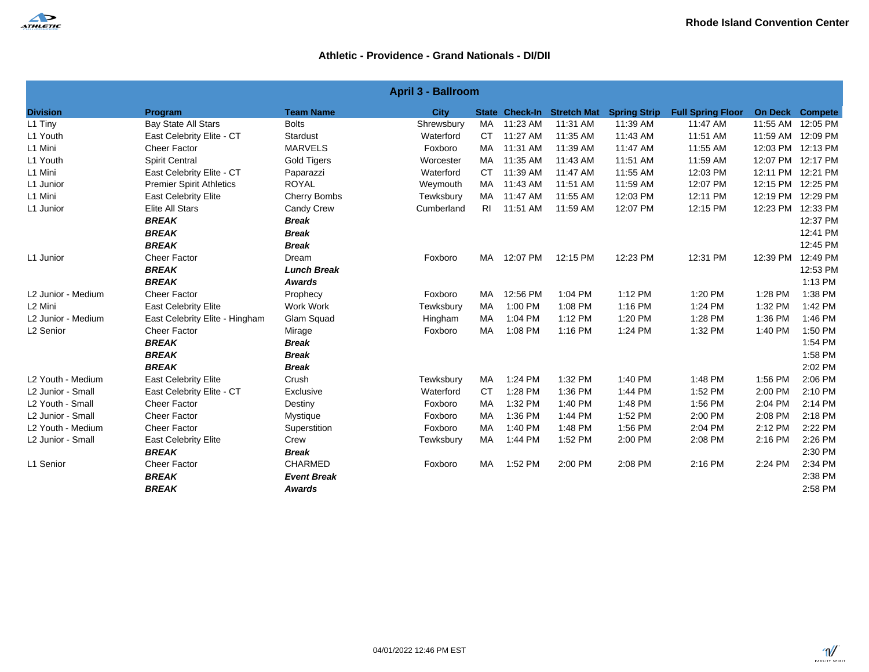

|                     | <b>April 3 - Ballroom</b>       |                     |             |           |          |                            |                     |                          |          |                        |  |
|---------------------|---------------------------------|---------------------|-------------|-----------|----------|----------------------------|---------------------|--------------------------|----------|------------------------|--|
| <b>Division</b>     | Program                         | <b>Team Name</b>    | <b>City</b> |           |          | State Check-In Stretch Mat | <b>Spring Strip</b> | <b>Full Spring Floor</b> |          | <b>On Deck Compete</b> |  |
| L1 Tiny             | <b>Bay State All Stars</b>      | <b>Bolts</b>        | Shrewsbury  | MA        | 11:23 AM | 11:31 AM                   | 11:39 AM            | 11:47 AM                 |          | 11:55 AM 12:05 PM      |  |
| L1 Youth            | East Celebrity Elite - CT       | Stardust            | Waterford   | <b>CT</b> | 11:27 AM | 11:35 AM                   | 11:43 AM            | 11:51 AM                 |          | 11:59 AM 12:09 PM      |  |
| L1 Mini             | <b>Cheer Factor</b>             | <b>MARVELS</b>      | Foxboro     | MA        | 11:31 AM | 11:39 AM                   | 11:47 AM            | 11:55 AM                 |          | 12:03 PM 12:13 PM      |  |
| L1 Youth            | <b>Spirit Central</b>           | <b>Gold Tigers</b>  | Worcester   | MA        | 11:35 AM | 11:43 AM                   | 11:51 AM            | 11:59 AM                 |          | 12:07 PM 12:17 PM      |  |
| L1 Mini             | East Celebrity Elite - CT       | Paparazzi           | Waterford   | CT.       | 11:39 AM | 11:47 AM                   | 11:55 AM            | 12:03 PM                 |          | 12:11 PM 12:21 PM      |  |
| L1 Junior           | <b>Premier Spirit Athletics</b> | <b>ROYAL</b>        | Weymouth    | MA        | 11:43 AM | 11:51 AM                   | 11:59 AM            | 12:07 PM                 |          | 12:15 PM 12:25 PM      |  |
| L1 Mini             | <b>East Celebrity Elite</b>     | <b>Cherry Bombs</b> | Tewksbury   | MA        | 11:47 AM | 11:55 AM                   | 12:03 PM            | 12:11 PM                 |          | 12:19 PM 12:29 PM      |  |
| L1 Junior           | Elite All Stars                 | Candy Crew          | Cumberland  | RI.       | 11:51 AM | 11:59 AM                   | 12:07 PM            | 12:15 PM                 |          | 12:23 PM 12:33 PM      |  |
|                     | <b>BREAK</b>                    | <b>Break</b>        |             |           |          |                            |                     |                          |          | 12:37 PM               |  |
|                     | <b>BREAK</b>                    | <b>Break</b>        |             |           |          |                            |                     |                          |          | 12:41 PM               |  |
|                     | <b>BREAK</b>                    | <b>Break</b>        |             |           |          |                            |                     |                          |          | 12:45 PM               |  |
| L1 Junior           | <b>Cheer Factor</b>             | Dream               | Foxboro     | MA        | 12:07 PM | 12:15 PM                   | 12:23 PM            | 12:31 PM                 | 12:39 PM | 12:49 PM               |  |
|                     | <b>BREAK</b>                    | <b>Lunch Break</b>  |             |           |          |                            |                     |                          |          | 12:53 PM               |  |
|                     | <b>BREAK</b>                    | Awards              |             |           |          |                            |                     |                          |          | 1:13 PM                |  |
| L2 Junior - Medium  | Cheer Factor                    | Prophecy            | Foxboro     | MA        | 12:56 PM | 1:04 PM                    | 1:12 PM             | 1:20 PM                  | 1:28 PM  | 1:38 PM                |  |
| L <sub>2</sub> Mini | <b>East Celebrity Elite</b>     | Work Work           | Tewksbury   | MA        | 1:00 PM  | 1:08 PM                    | 1:16 PM             | 1:24 PM                  | 1:32 PM  | 1:42 PM                |  |
| L2 Junior - Medium  | East Celebrity Elite - Hingham  | Glam Squad          | Hingham     | MA        | 1:04 PM  | 1:12 PM                    | 1:20 PM             | 1:28 PM                  | 1:36 PM  | 1:46 PM                |  |
| L2 Senior           | <b>Cheer Factor</b>             | Mirage              | Foxboro     | MA        | 1:08 PM  | 1:16 PM                    | 1:24 PM             | 1:32 PM                  | 1:40 PM  | 1:50 PM                |  |
|                     | <b>BREAK</b>                    | <b>Break</b>        |             |           |          |                            |                     |                          |          | 1:54 PM                |  |
|                     | <b>BREAK</b>                    | <b>Break</b>        |             |           |          |                            |                     |                          |          | 1:58 PM                |  |
|                     | <b>BREAK</b>                    | <b>Break</b>        |             |           |          |                            |                     |                          |          | 2:02 PM                |  |
| L2 Youth - Medium   | <b>East Celebrity Elite</b>     | Crush               | Tewksbury   | MA        | 1:24 PM  | 1:32 PM                    | 1:40 PM             | 1:48 PM                  | 1:56 PM  | 2:06 PM                |  |
| L2 Junior - Small   | East Celebrity Elite - CT       | Exclusive           | Waterford   | <b>CT</b> | 1:28 PM  | 1:36 PM                    | 1:44 PM             | 1:52 PM                  | 2:00 PM  | 2:10 PM                |  |
| L2 Youth - Small    | <b>Cheer Factor</b>             | Destiny             | Foxboro     | MA        | 1:32 PM  | 1:40 PM                    | 1:48 PM             | 1:56 PM                  | 2:04 PM  | 2:14 PM                |  |
| L2 Junior - Small   | <b>Cheer Factor</b>             | Mystique            | Foxboro     | MA        | 1:36 PM  | 1:44 PM                    | 1:52 PM             | 2:00 PM                  | 2:08 PM  | 2:18 PM                |  |
| L2 Youth - Medium   | <b>Cheer Factor</b>             | Superstition        | Foxboro     | МA        | 1:40 PM  | 1:48 PM                    | 1:56 PM             | 2:04 PM                  | 2:12 PM  | 2:22 PM                |  |
| L2 Junior - Small   | <b>East Celebrity Elite</b>     | Crew                | Tewksbury   | МA        | 1:44 PM  | 1:52 PM                    | 2:00 PM             | 2:08 PM                  | 2:16 PM  | 2:26 PM                |  |
|                     | <b>BREAK</b>                    | <b>Break</b>        |             |           |          |                            |                     |                          |          | 2:30 PM                |  |
| L1 Senior           | <b>Cheer Factor</b>             | <b>CHARMED</b>      | Foxboro     | MA        | 1:52 PM  | 2:00 PM                    | 2:08 PM             | 2:16 PM                  | 2:24 PM  | 2:34 PM                |  |
|                     | <b>BREAK</b>                    | <b>Event Break</b>  |             |           |          |                            |                     |                          |          | 2:38 PM                |  |
|                     | <b>BREAK</b>                    | Awards              |             |           |          |                            |                     |                          |          | 2:58 PM                |  |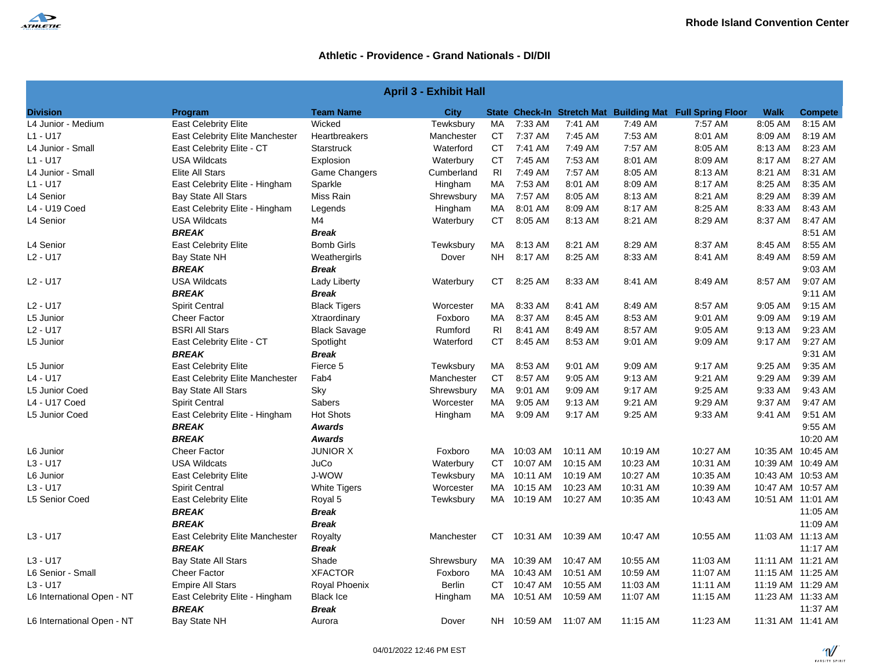| <b>April 3 - Exhibit Hall</b> |                                        |                     |               |                |             |                      |          |                                                           |             |                    |  |
|-------------------------------|----------------------------------------|---------------------|---------------|----------------|-------------|----------------------|----------|-----------------------------------------------------------|-------------|--------------------|--|
| <b>Division</b>               | Program                                | <b>Team Name</b>    | <b>City</b>   |                |             |                      |          | State Check-In Stretch Mat Building Mat Full Spring Floor | <b>Walk</b> | <b>Compete</b>     |  |
| L4 Junior - Medium            | East Celebrity Elite                   | Wicked              | Tewksbury     | MA             | 7:33 AM     | 7:41 AM              | 7:49 AM  | 7:57 AM                                                   | 8:05 AM     | 8:15 AM            |  |
| L1 - U17                      | <b>East Celebrity Elite Manchester</b> | Heartbreakers       | Manchester    | CT             | 7:37 AM     | 7:45 AM              | 7:53 AM  | 8:01 AM                                                   | 8:09 AM     | 8:19 AM            |  |
| L4 Junior - Small             | East Celebrity Elite - CT              | <b>Starstruck</b>   | Waterford     | СT             | 7:41 AM     | 7:49 AM              | 7:57 AM  | 8:05 AM                                                   | 8:13 AM     | 8:23 AM            |  |
| L1 - U17                      | <b>USA Wildcats</b>                    | Explosion           | Waterbury     | CT             | 7:45 AM     | 7:53 AM              | 8:01 AM  | 8:09 AM                                                   | 8:17 AM     | 8:27 AM            |  |
| L4 Junior - Small             | Elite All Stars                        | Game Changers       | Cumberland    | RI             | 7:49 AM     | 7:57 AM              | 8:05 AM  | 8:13 AM                                                   | 8:21 AM     | 8:31 AM            |  |
| L1 - U17                      | East Celebrity Elite - Hingham         | Sparkle             | Hingham       | MA             | 7:53 AM     | 8:01 AM              | 8:09 AM  | 8:17 AM                                                   | 8:25 AM     | 8:35 AM            |  |
| L4 Senior                     | <b>Bay State All Stars</b>             | Miss Rain           | Shrewsbury    | MA             | 7:57 AM     | 8:05 AM              | 8:13 AM  | 8:21 AM                                                   | 8:29 AM     | 8:39 AM            |  |
| L4 - U19 Coed                 | East Celebrity Elite - Hingham         | Legends             | Hingham       | МA             | 8:01 AM     | 8:09 AM              | 8:17 AM  | 8:25 AM                                                   | 8:33 AM     | 8:43 AM            |  |
| L4 Senior                     | <b>USA Wildcats</b>                    | M4                  | Waterbury     | CT             | 8:05 AM     | 8:13 AM              | 8:21 AM  | 8:29 AM                                                   | 8:37 AM     | 8:47 AM            |  |
|                               | <b>BREAK</b>                           | <b>Break</b>        |               |                |             |                      |          |                                                           |             | 8:51 AM            |  |
| L4 Senior                     | <b>East Celebrity Elite</b>            | <b>Bomb Girls</b>   | Tewksbury     | MA.            | 8:13 AM     | 8:21 AM              | 8:29 AM  | 8:37 AM                                                   | 8:45 AM     | 8:55 AM            |  |
| L2 - U17                      | Bay State NH                           | Weathergirls        | Dover         | NH.            | 8:17 AM     | 8:25 AM              | 8:33 AM  | 8:41 AM                                                   | 8:49 AM     | 8:59 AM            |  |
|                               | <b>BREAK</b>                           | <b>Break</b>        |               |                |             |                      |          |                                                           |             | 9:03 AM            |  |
| L2 - U17                      | <b>USA Wildcats</b>                    | Lady Liberty        | Waterbury     | CT             | 8:25 AM     | 8:33 AM              | 8:41 AM  | 8:49 AM                                                   | 8:57 AM     | 9:07 AM            |  |
|                               | <b>BREAK</b>                           | <b>Break</b>        |               |                |             |                      |          |                                                           |             | 9:11 AM            |  |
| L2 - U17                      | <b>Spirit Central</b>                  | <b>Black Tigers</b> | Worcester     | МA             | 8:33 AM     | 8:41 AM              | 8:49 AM  | 8:57 AM                                                   | 9:05 AM     | 9:15 AM            |  |
| L5 Junior                     | <b>Cheer Factor</b>                    | Xtraordinary        | Foxboro       | MA.            | 8:37 AM     | 8:45 AM              | 8:53 AM  | 9:01 AM                                                   | 9:09 AM     | 9:19 AM            |  |
| L2 - U17                      | <b>BSRI All Stars</b>                  | <b>Black Savage</b> | Rumford       | R <sub>1</sub> | 8:41 AM     | 8:49 AM              | 8:57 AM  | 9:05 AM                                                   | 9:13 AM     | 9:23 AM            |  |
| L5 Junior                     | East Celebrity Elite - CT              | Spotlight           | Waterford     | СT             | 8:45 AM     | 8:53 AM              | 9:01 AM  | 9:09 AM                                                   | 9:17 AM     | 9:27 AM            |  |
|                               | <b>BREAK</b>                           | Break               |               |                |             |                      |          |                                                           |             | 9:31 AM            |  |
| L5 Junior                     | <b>East Celebrity Elite</b>            | Fierce 5            | Tewksbury     | MA             | 8:53 AM     | 9:01 AM              | 9:09 AM  | 9:17 AM                                                   | 9:25 AM     | 9:35 AM            |  |
| L4 - U17                      | East Celebrity Elite Manchester        | Fab4                | Manchester    | СT             | 8:57 AM     | 9:05 AM              | 9:13 AM  | 9:21 AM                                                   | 9:29 AM     | 9:39 AM            |  |
| L5 Junior Coed                | <b>Bay State All Stars</b>             | Sky                 | Shrewsbury    | MA.            | 9:01 AM     | 9:09 AM              | 9:17 AM  | 9:25 AM                                                   | 9:33 AM     | 9:43 AM            |  |
| L4 - U17 Coed                 | <b>Spirit Central</b>                  | Sabers              | Worcester     | МA             | 9:05 AM     | 9:13 AM              | 9:21 AM  | 9:29 AM                                                   | 9:37 AM     | 9:47 AM            |  |
| L5 Junior Coed                | East Celebrity Elite - Hingham         | <b>Hot Shots</b>    | Hingham       | MA             | 9:09 AM     | 9:17 AM              | 9:25 AM  | 9:33 AM                                                   | 9:41 AM     | 9:51 AM            |  |
|                               | <b>BREAK</b>                           | Awards              |               |                |             |                      |          |                                                           |             | 9:55 AM            |  |
|                               | <b>BREAK</b>                           | Awards              |               |                |             |                      |          |                                                           |             | 10:20 AM           |  |
| L6 Junior                     | <b>Cheer Factor</b>                    | <b>JUNIOR X</b>     | Foxboro       |                | MA 10:03 AM | 10:11 AM             | 10:19 AM | 10:27 AM                                                  |             | 10:35 AM 10:45 AM  |  |
| L3 - U17                      | <b>USA Wildcats</b>                    | JuCo                | Waterbury     | CT.            | 10:07 AM    | 10:15 AM             | 10:23 AM | 10:31 AM                                                  |             | 10:39 AM 10:49 AM  |  |
| L6 Junior                     | <b>East Celebrity Elite</b>            | J-WOW               | Tewksbury     | MA             | 10:11 AM    | 10:19 AM             | 10:27 AM | 10:35 AM                                                  |             | 10:43 AM 10:53 AM  |  |
| L3 - U17                      | <b>Spirit Central</b>                  | <b>White Tigers</b> | Worcester     | MA.            | 10:15 AM    | 10:23 AM             | 10:31 AM | 10:39 AM                                                  |             | 10:47 AM 10:57 AM  |  |
| L5 Senior Coed                | East Celebrity Elite                   | Royal 5             | Tewksbury     |                | MA 10:19 AM | 10:27 AM             | 10:35 AM | 10:43 AM                                                  |             | 10:51 AM 11:01 AM  |  |
|                               | <b>BREAK</b>                           | <b>Break</b>        |               |                |             |                      |          |                                                           |             | 11:05 AM           |  |
|                               | <b>BREAK</b>                           | <b>Break</b>        |               |                |             |                      |          |                                                           |             | 11:09 AM           |  |
| L3 - U17                      | East Celebrity Elite Manchester        | Royalty             | Manchester    | CT             | 10:31 AM    | 10:39 AM             | 10:47 AM | 10:55 AM                                                  |             | 11:03 AM 11:13 AM  |  |
|                               | <b>BREAK</b>                           | Break               |               |                |             |                      |          |                                                           |             | 11:17 AM           |  |
| L3 - U17                      | <b>Bay State All Stars</b>             | Shade               | Shrewsbury    |                | MA 10:39 AM | 10:47 AM             | 10:55 AM | 11:03 AM                                                  |             | 11:11 AM  11:21 AM |  |
| L6 Senior - Small             | <b>Cheer Factor</b>                    | <b>XFACTOR</b>      | Foxboro       | MA.            | 10:43 AM    | 10:51 AM             | 10:59 AM | 11:07 AM                                                  |             | 11:15 AM 11:25 AM  |  |
| L3 - U17                      | <b>Empire All Stars</b>                | Royal Phoenix       | <b>Berlin</b> | CT             | 10:47 AM    | 10:55 AM             | 11:03 AM | 11:11 AM                                                  |             | 11:19 AM 11:29 AM  |  |
| L6 International Open - NT    | East Celebrity Elite - Hingham         | <b>Black Ice</b>    | Hingham       | MA             | 10:51 AM    | 10:59 AM             | 11:07 AM | 11:15 AM                                                  |             | 11:23 AM 11:33 AM  |  |
|                               | <b>BREAK</b>                           | <b>Break</b>        |               |                |             |                      |          |                                                           |             | 11:37 AM           |  |
| L6 International Open - NT    | Bay State NH                           | Aurora              | Dover         |                |             | NH 10:59 AM 11:07 AM | 11:15 AM | 11:23 AM                                                  |             | 11:31 AM 11:41 AM  |  |

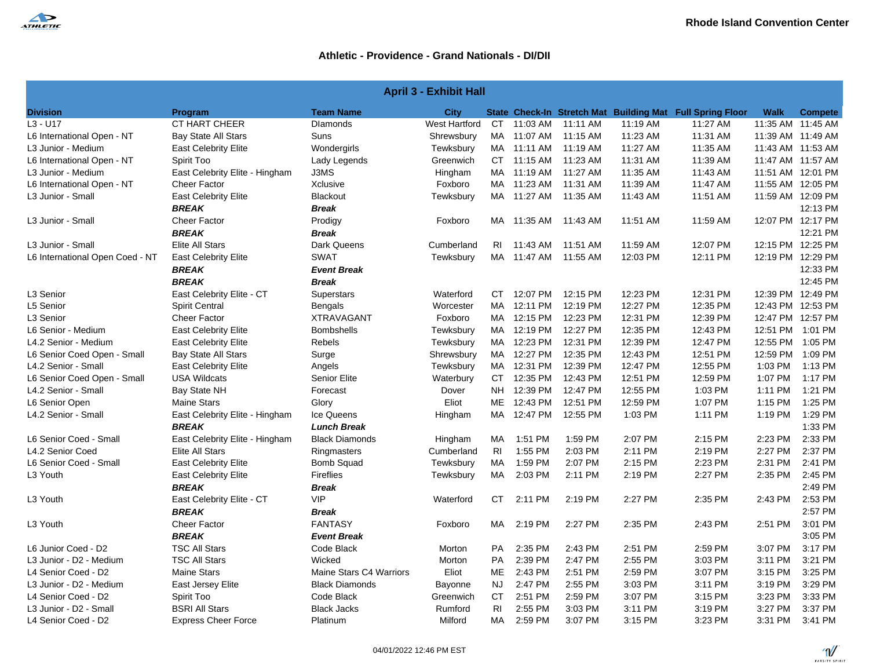

| <b>April 3 - Exhibit Hall</b>   |                                |                         |               |                |             |                      |          |                                                           |                   |                   |
|---------------------------------|--------------------------------|-------------------------|---------------|----------------|-------------|----------------------|----------|-----------------------------------------------------------|-------------------|-------------------|
| <b>Division</b>                 | Program                        | <b>Team Name</b>        | City          |                |             |                      |          | State Check-In Stretch Mat Building Mat Full Spring Floor | <b>Walk</b>       | <b>Compete</b>    |
| $L3 - U17$                      | <b>CT HART CHEER</b>           | <b>Dlamonds</b>         | West Hartford | CT.            | 11:03 AM    | 11:11 AM             | 11:19 AM | 11:27 AM                                                  |                   | 11:35 AM 11:45 AM |
| L6 International Open - NT      | <b>Bay State All Stars</b>     | Suns                    | Shrewsbury    |                |             | MA 11:07 AM 11:15 AM | 11:23 AM | 11:31 AM                                                  |                   | 11:39 AM 11:49 AM |
| L3 Junior - Medium              | <b>East Celebrity Elite</b>    | Wondergirls             | Tewksbury     |                | MA 11:11 AM | 11:19 AM             | 11:27 AM | 11:35 AM                                                  | 11:43 AM 11:53 AM |                   |
| L6 International Open - NT      | Spirit Too                     | Lady Legends            | Greenwich     | CT.            | 11:15 AM    | 11:23 AM             | 11:31 AM | 11:39 AM                                                  | 11:47 AM 11:57 AM |                   |
| L3 Junior - Medium              | East Celebrity Elite - Hingham | J3MS                    | Hingham       |                |             | MA 11:19 AM 11:27 AM | 11:35 AM | 11:43 AM                                                  |                   | 11:51 AM 12:01 PM |
| L6 International Open - NT      | <b>Cheer Factor</b>            | Xclusive                | Foxboro       | MA             | 11:23 AM    | 11:31 AM             | 11:39 AM | 11:47 AM                                                  | 11:55 AM 12:05 PM |                   |
| L3 Junior - Small               | <b>East Celebrity Elite</b>    | <b>Blackout</b>         | Tewksbury     |                | MA 11:27 AM | 11:35 AM             | 11:43 AM | 11:51 AM                                                  | 11:59 AM 12:09 PM |                   |
|                                 | <b>BREAK</b>                   | <b>Break</b>            |               |                |             |                      |          |                                                           |                   | 12:13 PM          |
| L3 Junior - Small               | <b>Cheer Factor</b>            | Prodigy                 | Foxboro       | MA             | 11:35 AM    | 11:43 AM             | 11:51 AM | 11:59 AM                                                  |                   | 12:07 PM 12:17 PM |
|                                 | <b>BREAK</b>                   | <b>Break</b>            |               |                |             |                      |          |                                                           |                   | 12:21 PM          |
| L3 Junior - Small               | Elite All Stars                | Dark Queens             | Cumberland    | RI.            | 11:43 AM    | 11:51 AM             | 11:59 AM | 12:07 PM                                                  |                   | 12:15 PM 12:25 PM |
| L6 International Open Coed - NT | <b>East Celebrity Elite</b>    | <b>SWAT</b>             | Tewksbury     | MA.            | 11:47 AM    | 11:55 AM             | 12:03 PM | 12:11 PM                                                  |                   | 12:19 PM 12:29 PM |
|                                 | <b>BREAK</b>                   | <b>Event Break</b>      |               |                |             |                      |          |                                                           |                   | 12:33 PM          |
|                                 | <b>BREAK</b>                   | <b>Break</b>            |               |                |             |                      |          |                                                           |                   | 12:45 PM          |
| L3 Senior                       | East Celebrity Elite - CT      | Superstars              | Waterford     | CT.            | 12:07 PM    | 12:15 PM             | 12:23 PM | 12:31 PM                                                  |                   | 12:39 PM 12:49 PM |
| L5 Senior                       | <b>Spirit Central</b>          | <b>Bengals</b>          | Worcester     | МA             | 12:11 PM    | 12:19 PM             | 12:27 PM | 12:35 PM                                                  | 12:43 PM 12:53 PM |                   |
| L3 Senior                       | <b>Cheer Factor</b>            | <b>XTRAVAGANT</b>       | Foxboro       | MA             | 12:15 PM    | 12:23 PM             | 12:31 PM | 12:39 PM                                                  |                   | 12:47 PM 12:57 PM |
| L6 Senior - Medium              | <b>East Celebrity Elite</b>    | <b>Bombshells</b>       | Tewksbury     | MA             | 12:19 PM    | 12:27 PM             | 12:35 PM | 12:43 PM                                                  | 12:51 PM          | $1:01$ PM         |
| L4.2 Senior - Medium            | <b>East Celebrity Elite</b>    | Rebels                  | Tewksbury     | MA             | 12:23 PM    | 12:31 PM             | 12:39 PM | 12:47 PM                                                  | 12:55 PM 1:05 PM  |                   |
| L6 Senior Coed Open - Small     | <b>Bay State All Stars</b>     | Surge                   | Shrewsbury    | MA.            | 12:27 PM    | 12:35 PM             | 12:43 PM | 12:51 PM                                                  | 12:59 PM 1:09 PM  |                   |
| L4.2 Senior - Small             | <b>East Celebrity Elite</b>    | Angels                  | Tewksbury     | MA.            | 12:31 PM    | 12:39 PM             | 12:47 PM | 12:55 PM                                                  | 1:03 PM           | 1:13 PM           |
| L6 Senior Coed Open - Small     | <b>USA Wildcats</b>            | <b>Senior Elite</b>     | Waterbury     | CT.            | 12:35 PM    | 12:43 PM             | 12:51 PM | 12:59 PM                                                  | 1:07 PM           | 1:17 PM           |
| L4.2 Senior - Small             | Bay State NH                   | Forecast                | Dover         | <b>NH</b>      | 12:39 PM    | 12:47 PM             | 12:55 PM | 1:03 PM                                                   | 1:11 PM           | 1:21 PM           |
| L6 Senior Open                  | <b>Maine Stars</b>             | Glory                   | Eliot         | ME             | 12:43 PM    | 12:51 PM             | 12:59 PM | 1:07 PM                                                   | 1:15 PM           | 1:25 PM           |
| L4.2 Senior - Small             | East Celebrity Elite - Hingham | Ice Queens              | Hingham       | MA.            | 12:47 PM    | 12:55 PM             | 1:03 PM  | 1:11 PM                                                   | 1:19 PM           | 1:29 PM           |
|                                 | <b>BREAK</b>                   | <b>Lunch Break</b>      |               |                |             |                      |          |                                                           |                   | 1:33 PM           |
| L6 Senior Coed - Small          | East Celebrity Elite - Hingham | <b>Black Diamonds</b>   | Hingham       | МA             | 1:51 PM     | 1:59 PM              | 2:07 PM  | 2:15 PM                                                   | 2:23 PM           | 2:33 PM           |
| L4.2 Senior Coed                | <b>Elite All Stars</b>         | Ringmasters             | Cumberland    | R <sub>l</sub> | 1:55 PM     | 2:03 PM              | 2:11 PM  | 2:19 PM                                                   | 2:27 PM           | 2:37 PM           |
| L6 Senior Coed - Small          | <b>East Celebrity Elite</b>    | <b>Bomb Squad</b>       | Tewksbury     | МA             | 1:59 PM     | 2:07 PM              | 2:15 PM  | 2:23 PM                                                   | 2:31 PM           | 2:41 PM           |
| L3 Youth                        | <b>East Celebrity Elite</b>    | <b>Fireflies</b>        | Tewksbury     | МA             | 2:03 PM     | 2:11 PM              | 2:19 PM  | 2:27 PM                                                   | 2:35 PM           | 2:45 PM           |
|                                 | <b>BREAK</b>                   | <b>Break</b>            |               |                |             |                      |          |                                                           |                   | 2:49 PM           |
| L3 Youth                        | East Celebrity Elite - CT      | <b>VIP</b>              | Waterford     | CT             | 2:11 PM     | 2:19 PM              | 2:27 PM  | 2:35 PM                                                   | 2:43 PM           | 2:53 PM           |
|                                 | <b>BREAK</b>                   | <b>Break</b>            |               |                |             |                      |          |                                                           |                   | 2:57 PM           |
| L3 Youth                        | <b>Cheer Factor</b>            | <b>FANTASY</b>          | Foxboro       | МA             | 2:19 PM     | 2:27 PM              | 2:35 PM  | 2:43 PM                                                   | 2:51 PM           | 3:01 PM           |
|                                 | <b>BREAK</b>                   | <b>Event Break</b>      |               |                |             |                      |          |                                                           |                   | 3:05 PM           |
| L6 Junior Coed - D2             | <b>TSC All Stars</b>           | Code Black              | Morton        | <b>PA</b>      | 2:35 PM     | 2:43 PM              | 2:51 PM  | 2:59 PM                                                   | 3:07 PM           | 3:17 PM           |
| L3 Junior - D2 - Medium         | <b>TSC All Stars</b>           | Wicked                  | Morton        | <b>PA</b>      | 2:39 PM     | 2:47 PM              | 2:55 PM  | 3:03 PM                                                   | 3:11 PM           | 3:21 PM           |
| L4 Senior Coed - D2             | <b>Maine Stars</b>             | Maine Stars C4 Warriors | Eliot         | ME             | 2:43 PM     | 2:51 PM              | 2:59 PM  | 3:07 PM                                                   | 3:15 PM           | 3:25 PM           |
| L3 Junior - D2 - Medium         | East Jersey Elite              | <b>Black Diamonds</b>   | Bayonne       | <b>NJ</b>      | 2:47 PM     | 2:55 PM              | 3:03 PM  | 3:11 PM                                                   | 3:19 PM           | 3:29 PM           |
| L4 Senior Coed - D2             | Spirit Too                     | Code Black              | Greenwich     | СT             | 2:51 PM     | 2:59 PM              | 3:07 PM  | 3:15 PM                                                   | 3:23 PM           | 3:33 PM           |
| L3 Junior - D2 - Small          | <b>BSRI All Stars</b>          | <b>Black Jacks</b>      | Rumford       | R <sub>l</sub> | 2:55 PM     | 3:03 PM              | 3:11 PM  | 3:19 PM                                                   | 3:27 PM           | 3:37 PM           |
| L4 Senior Coed - D2             | <b>Express Cheer Force</b>     | Platinum                | Milford       | MA.            | 2:59 PM     | 3:07 PM              | 3:15 PM  | 3:23 PM                                                   | 3:31 PM           | 3:41 PM           |